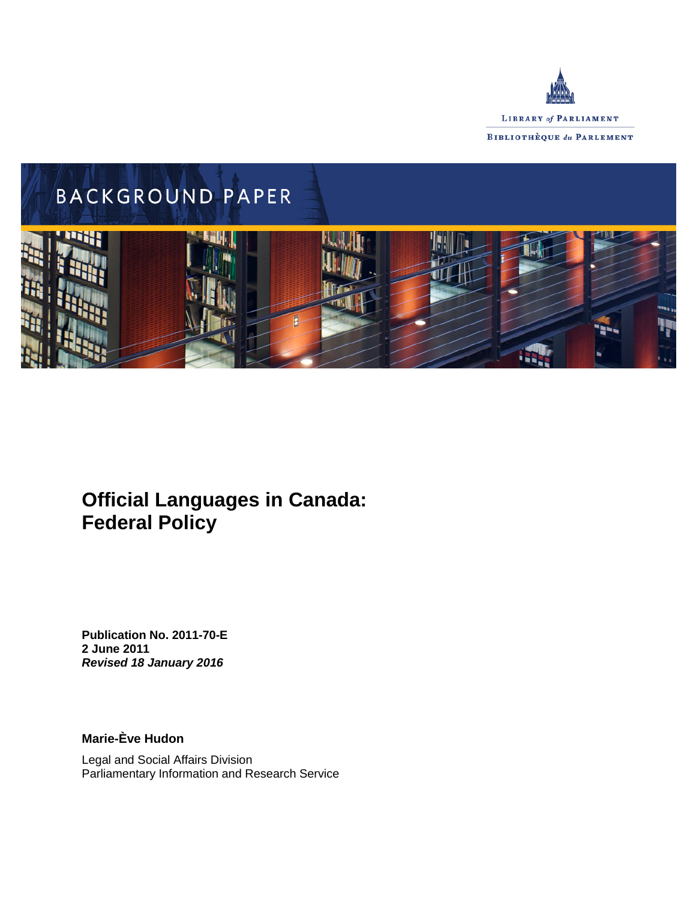



# **Official Languages in Canada: Federal Policy**

**Publication No. 2011-70-E 2 June 2011** *Revised 18 January 2016*

**Marie-Ève Hudon**

Legal and Social Affairs Division Parliamentary Information and Research Service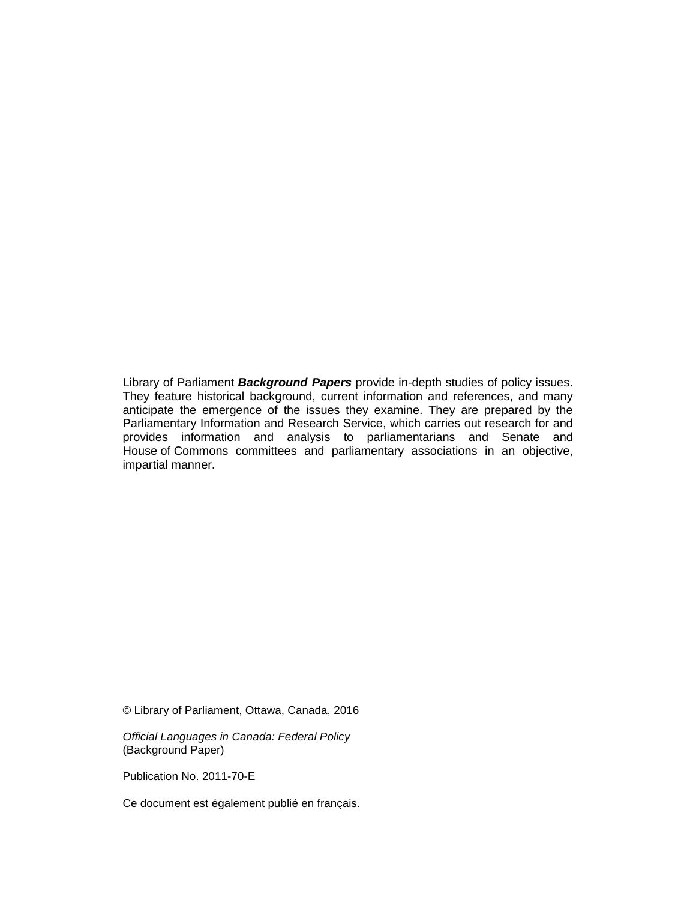Library of Parliament *Background Papers* provide in-depth studies of policy issues. They feature historical background, current information and references, and many anticipate the emergence of the issues they examine. They are prepared by the Parliamentary Information and Research Service, which carries out research for and provides information and analysis to parliamentarians and Senate and House of Commons committees and parliamentary associations in an objective, impartial manner.

© Library of Parliament, Ottawa, Canada, 2016

*Official Languages in Canada: Federal Policy* (Background Paper)

Publication No. 2011-70-E

Ce document est également publié en français.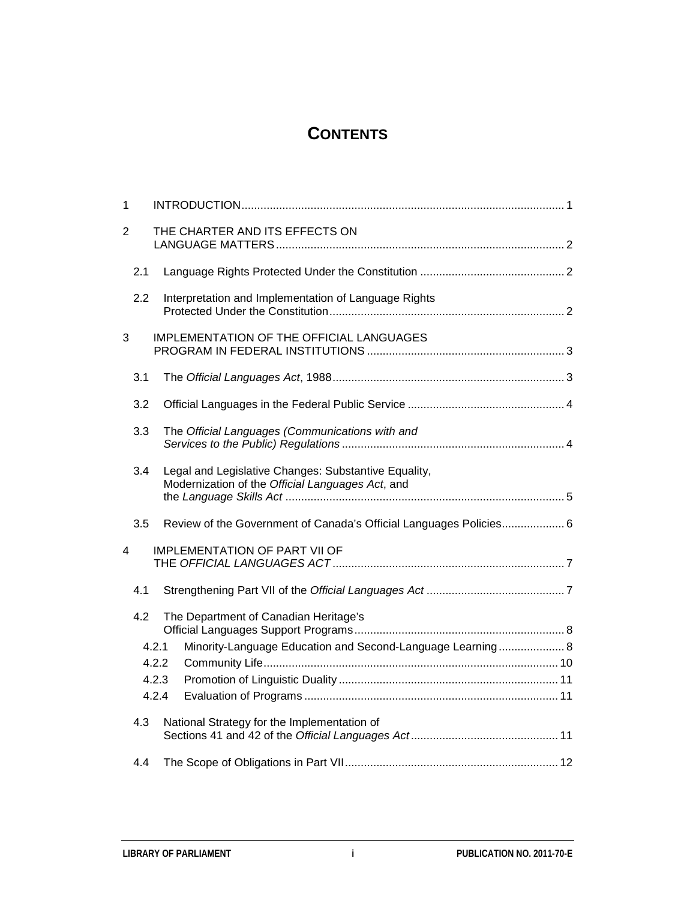## **CONTENTS**

| $\mathbf{1}$   |     |       |                                                                                                          |  |
|----------------|-----|-------|----------------------------------------------------------------------------------------------------------|--|
| $\overline{2}$ |     |       | THE CHARTER AND ITS EFFECTS ON                                                                           |  |
|                | 2.1 |       |                                                                                                          |  |
|                | 2.2 |       | Interpretation and Implementation of Language Rights                                                     |  |
| 3              |     |       | <b>IMPLEMENTATION OF THE OFFICIAL LANGUAGES</b>                                                          |  |
|                | 3.1 |       |                                                                                                          |  |
|                | 3.2 |       |                                                                                                          |  |
|                | 3.3 |       | The Official Languages (Communications with and                                                          |  |
|                | 3.4 |       | Legal and Legislative Changes: Substantive Equality,<br>Modernization of the Official Languages Act, and |  |
|                | 3.5 |       | Review of the Government of Canada's Official Languages Policies 6                                       |  |
| 4              |     |       | <b>IMPLEMENTATION OF PART VII OF</b>                                                                     |  |
|                | 4.1 |       |                                                                                                          |  |
|                | 4.2 |       | The Department of Canadian Heritage's                                                                    |  |
|                |     | 4.2.1 | Minority-Language Education and Second-Language Learning 8                                               |  |
|                |     | 4.2.2 |                                                                                                          |  |
|                |     | 4.2.3 |                                                                                                          |  |
|                |     | 4.2.4 |                                                                                                          |  |
|                | 4.3 |       | National Strategy for the Implementation of                                                              |  |
|                | 4.4 |       |                                                                                                          |  |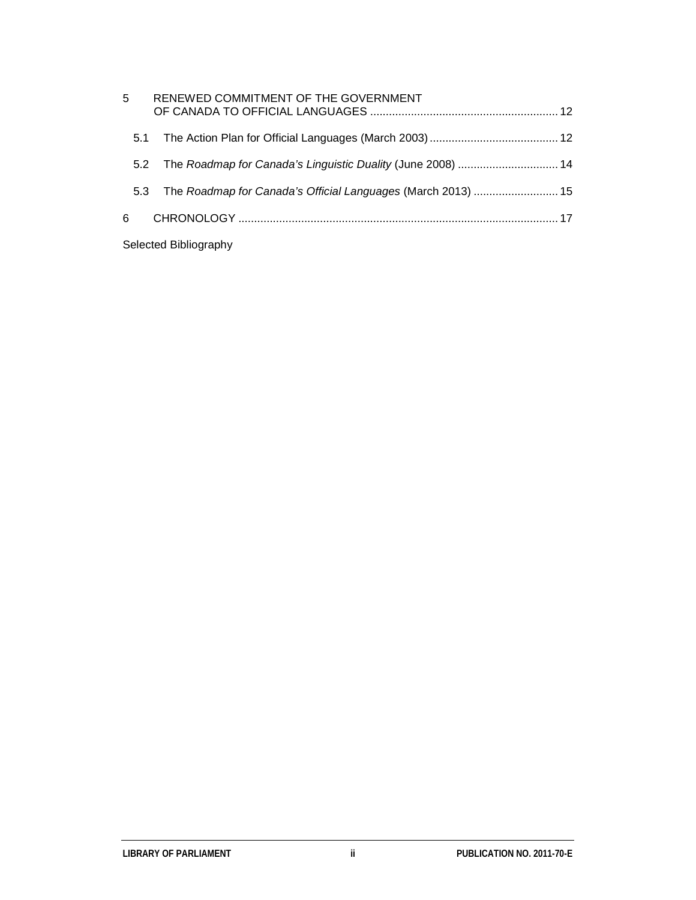| 5                     | RENEWED COMMITMENT OF THE GOVERNMENT                            |  |  |  |  |  |
|-----------------------|-----------------------------------------------------------------|--|--|--|--|--|
| 5.1                   |                                                                 |  |  |  |  |  |
|                       | 5.2 The Roadmap for Canada's Linguistic Duality (June 2008)  14 |  |  |  |  |  |
| 5.3                   | The Roadmap for Canada's Official Languages (March 2013)  15    |  |  |  |  |  |
| 6                     |                                                                 |  |  |  |  |  |
| Selected Bibliography |                                                                 |  |  |  |  |  |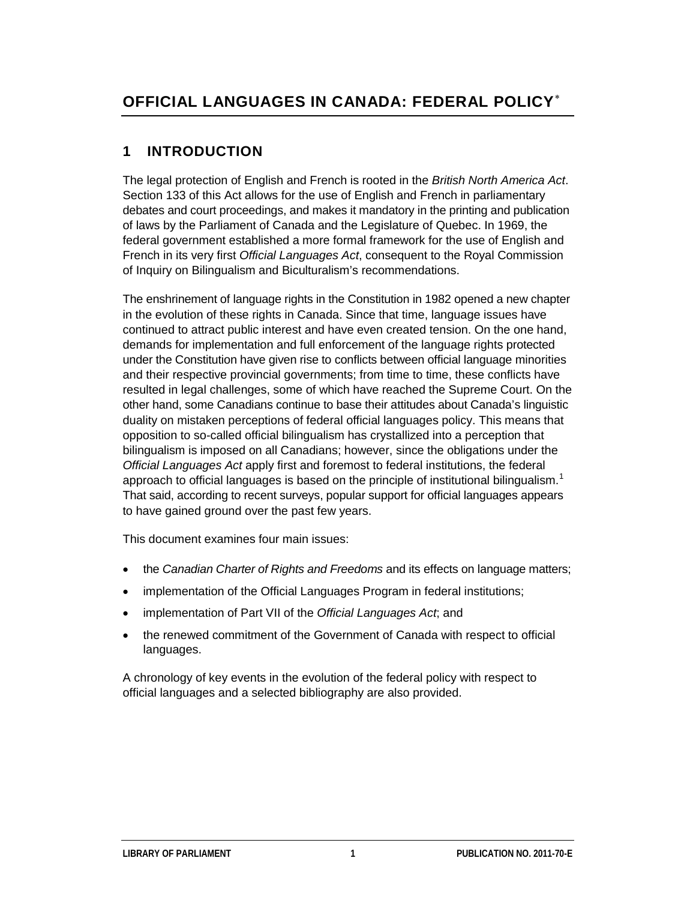## **1 INTRODUCTION**

The legal protection of English and French is rooted in the *British North America Act*. Section 133 of this Act allows for the use of English and French in parliamentary debates and court proceedings, and makes it mandatory in the printing and publication of laws by the Parliament of Canada and the Legislature of Quebec. In 1969, the federal government established a more formal framework for the use of English and French in its very first *Official Languages Act*, consequent to the Royal Commission of Inquiry on Bilingualism and Biculturalism's recommendations.

The enshrinement of language rights in the Constitution in 1982 opened a new chapter in the evolution of these rights in Canada. Since that time, language issues have continued to attract public interest and have even created tension. On the one hand, demands for implementation and full enforcement of the language rights protected under the Constitution have given rise to conflicts between official language minorities and their respective provincial governments; from time to time, these conflicts have resulted in legal challenges, some of which have reached the Supreme Court. On the other hand, some Canadians continue to base their attitudes about Canada's linguistic duality on mistaken perceptions of federal official languages policy. This means that opposition to so-called official bilingualism has crystallized into a perception that bilingualism is imposed on all Canadians; however, since the obligations under the *Official Languages Act* apply first and foremost to federal institutions, the federal approach to official languages is based on the principle of institutional bilingualism.<sup>[1](#page-26-1)</sup> That said, according to recent surveys, popular support for official languages appears to have gained ground over the past few years.

This document examines four main issues:

- the *Canadian Charter of Rights and Freedoms* and its effects on language matters;
- implementation of the Official Languages Program in federal institutions;
- implementation of Part VII of the *Official Languages Act*; and
- the renewed commitment of the Government of Canada with respect to official languages.

A chronology of key events in the evolution of the federal policy with respect to official languages and a selected bibliography are also provided.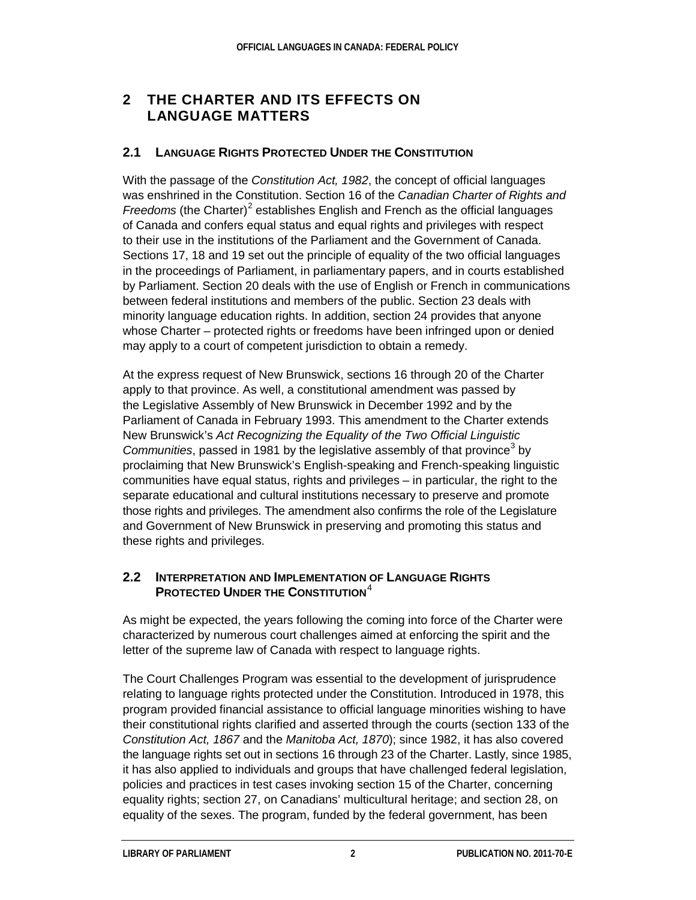## **2 THE CHARTER AND ITS EFFECTS ON LANGUAGE MATTERS**

### **2.1 LANGUAGE RIGHTS PROTECTED UNDER THE CONSTITUTION**

With the passage of the *Constitution Act, 1982*, the concept of official languages was enshrined in the Constitution. Section 16 of the *Canadian Charter of Rights and Freedoms* (the Charter)<sup>[2](#page-26-2)</sup> establishes English and French as the official languages of Canada and confers equal status and equal rights and privileges with respect to their use in the institutions of the Parliament and the Government of Canada. Sections 17, 18 and 19 set out the principle of equality of the two official languages in the proceedings of Parliament, in parliamentary papers, and in courts established by Parliament. Section 20 deals with the use of English or French in communications between federal institutions and members of the public. Section 23 deals with minority language education rights. In addition, section 24 provides that anyone whose Charter – protected rights or freedoms have been infringed upon or denied may apply to a court of competent jurisdiction to obtain a remedy.

At the express request of New Brunswick, sections 16 through 20 of the Charter apply to that province. As well, a constitutional amendment was passed by the Legislative Assembly of New Brunswick in December 1992 and by the Parliament of Canada in February 1993. This amendment to the Charter extends New Brunswick's *Act Recognizing the Equality of the Two Official Linguistic Communities*, passed in 1981 by the legislative assembly of that province<sup>[3](#page-26-3)</sup> by proclaiming that New Brunswick's English-speaking and French-speaking linguistic communities have equal status, rights and privileges – in particular, the right to the separate educational and cultural institutions necessary to preserve and promote those rights and privileges. The amendment also confirms the role of the Legislature and Government of New Brunswick in preserving and promoting this status and these rights and privileges.

#### **2.2 INTERPRETATION AND IMPLEMENTATION OF LANGUAGE RIGHTS PROTECTED UNDER THE CONSTITUTION**<sup>[4](#page-26-4)</sup>

As might be expected, the years following the coming into force of the Charter were characterized by numerous court challenges aimed at enforcing the spirit and the letter of the supreme law of Canada with respect to language rights.

The Court Challenges Program was essential to the development of jurisprudence relating to language rights protected under the Constitution. Introduced in 1978, this program provided financial assistance to official language minorities wishing to have their constitutional rights clarified and asserted through the courts (section 133 of the *Constitution Act, 1867* and the *Manitoba Act, 1870*); since 1982, it has also covered the language rights set out in sections 16 through 23 of the Charter. Lastly, since 1985, it has also applied to individuals and groups that have challenged federal legislation, policies and practices in test cases invoking section 15 of the Charter, concerning equality rights; section 27, on Canadians' multicultural heritage; and section 28, on equality of the sexes. The program, funded by the federal government, has been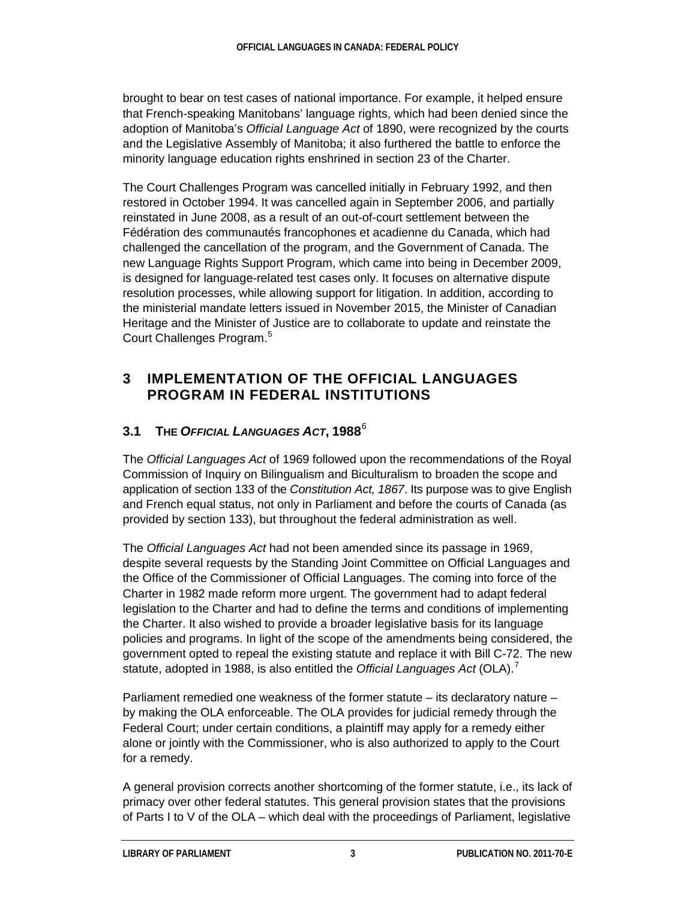brought to bear on test cases of national importance. For example, it helped ensure that French-speaking Manitobans' language rights, which had been denied since the adoption of Manitoba's *Official Language Act* of 1890, were recognized by the courts and the Legislative Assembly of Manitoba; it also furthered the battle to enforce the minority language education rights enshrined in section 23 of the Charter.

The Court Challenges Program was cancelled initially in February 1992, and then restored in October 1994. It was cancelled again in September 2006, and partially reinstated in June 2008, as a result of an out-of-court settlement between the Fédération des communautés francophones et acadienne du Canada, which had challenged the cancellation of the program, and the Government of Canada. The new Language Rights Support Program, which came into being in December 2009, is designed for language-related test cases only. It focuses on alternative dispute resolution processes, while allowing support for litigation. In addition, according to the ministerial mandate letters issued in November 2015, the Minister of Canadian Heritage and the Minister of Justice are to collaborate to update and reinstate the Court Challenges Program.<sup>[5](#page-26-5)</sup>

## **3 IMPLEMENTATION OF THE OFFICIAL LANGUAGES PROGRAM IN FEDERAL INSTITUTIONS**

## **3.1 THE** *OFFICIAL LANGUAGES ACT***, 1988**[6](#page-26-6)

The *Official Languages Act* of 1969 followed upon the recommendations of the Royal Commission of Inquiry on Bilingualism and Biculturalism to broaden the scope and application of section 133 of the *Constitution Act, 1867*. Its purpose was to give English and French equal status, not only in Parliament and before the courts of Canada (as provided by section 133), but throughout the federal administration as well.

The *Official Languages Act* had not been amended since its passage in 1969, despite several requests by the Standing Joint Committee on Official Languages and the Office of the Commissioner of Official Languages. The coming into force of the Charter in 1982 made reform more urgent. The government had to adapt federal legislation to the Charter and had to define the terms and conditions of implementing the Charter. It also wished to provide a broader legislative basis for its language policies and programs. In light of the scope of the amendments being considered, the government opted to repeal the existing statute and replace it with Bill C-72. The new statute, adopted in 1988, is also entitled the *Official Languages Act* (OLA).[7](#page-26-7)

Parliament remedied one weakness of the former statute – its declaratory nature – by making the OLA enforceable. The OLA provides for judicial remedy through the Federal Court; under certain conditions, a plaintiff may apply for a remedy either alone or jointly with the Commissioner, who is also authorized to apply to the Court for a remedy.

A general provision corrects another shortcoming of the former statute, i.e., its lack of primacy over other federal statutes. This general provision states that the provisions of Parts I to V of the OLA – which deal with the proceedings of Parliament, legislative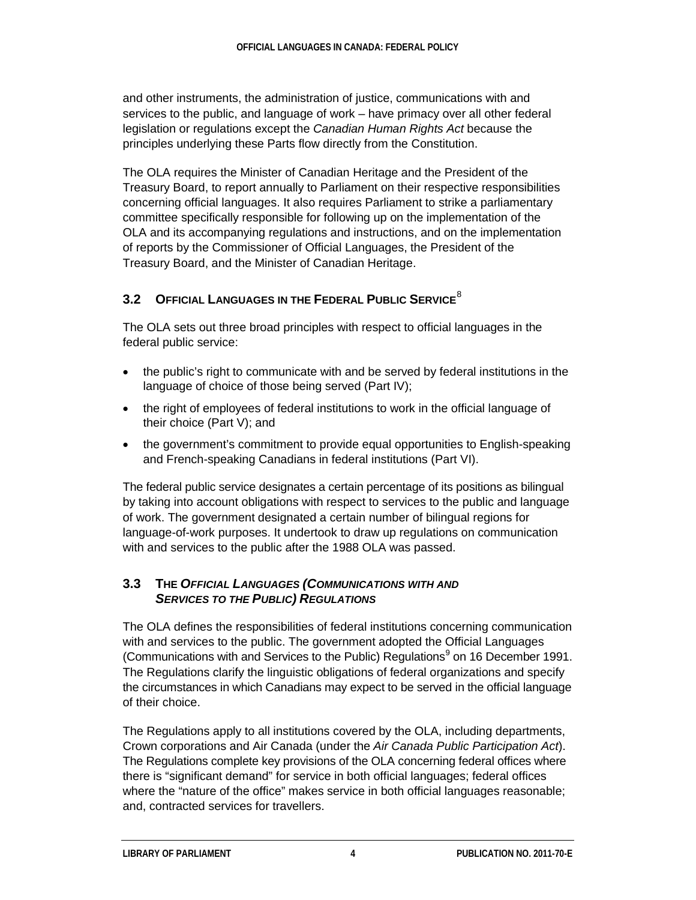and other instruments, the administration of justice, communications with and services to the public, and language of work – have primacy over all other federal legislation or regulations except the *Canadian Human Rights Act* because the principles underlying these Parts flow directly from the Constitution.

The OLA requires the Minister of Canadian Heritage and the President of the Treasury Board, to report annually to Parliament on their respective responsibilities concerning official languages. It also requires Parliament to strike a parliamentary committee specifically responsible for following up on the implementation of the OLA and its accompanying regulations and instructions, and on the implementation of reports by the Commissioner of Official Languages, the President of the Treasury Board, and the Minister of Canadian Heritage.

## **3.2 OFFICIAL LANGUAGES IN THE FEDERAL PUBLIC SERVICE**[8](#page-26-8)

The OLA sets out three broad principles with respect to official languages in the federal public service:

- the public's right to communicate with and be served by federal institutions in the language of choice of those being served (Part IV);
- the right of employees of federal institutions to work in the official language of their choice (Part V); and
- the government's commitment to provide equal opportunities to English-speaking and French-speaking Canadians in federal institutions (Part VI).

The federal public service designates a certain percentage of its positions as bilingual by taking into account obligations with respect to services to the public and language of work. The government designated a certain number of bilingual regions for language-of-work purposes. It undertook to draw up regulations on communication with and services to the public after the 1988 OLA was passed.

#### **3.3 THE** *OFFICIAL LANGUAGES (COMMUNICATIONS WITH AND SERVICES TO THE PUBLIC) REGULATIONS*

The OLA defines the responsibilities of federal institutions concerning communication with and services to the public. The government adopted the Official Languages (Communications with and Services to the Public) Regulations<sup>[9](#page-27-0)</sup> on 16 December 1991. The Regulations clarify the linguistic obligations of federal organizations and specify the circumstances in which Canadians may expect to be served in the official language of their choice.

The Regulations apply to all institutions covered by the OLA, including departments, Crown corporations and Air Canada (under the *Air Canada Public Participation Act*). The Regulations complete key provisions of the OLA concerning federal offices where there is "significant demand" for service in both official languages; federal offices where the "nature of the office" makes service in both official languages reasonable; and, contracted services for travellers.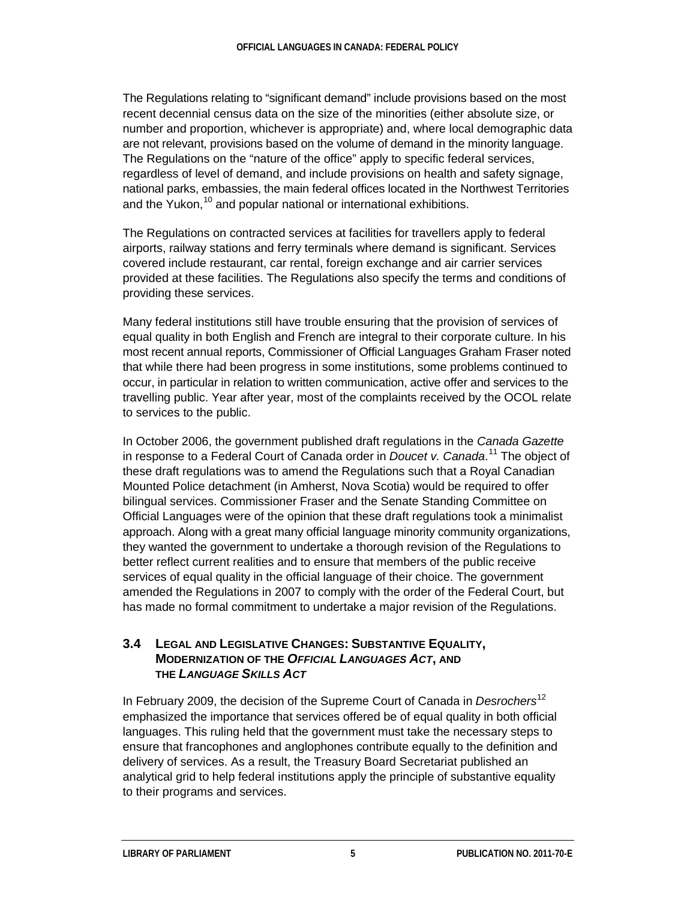The Regulations relating to "significant demand" include provisions based on the most recent decennial census data on the size of the minorities (either absolute size, or number and proportion, whichever is appropriate) and, where local demographic data are not relevant, provisions based on the volume of demand in the minority language. The Regulations on the "nature of the office" apply to specific federal services, regardless of level of demand, and include provisions on health and safety signage, national parks, embassies, the main federal offices located in the Northwest Territories and the Yukon,  $10^{\circ}$  $10^{\circ}$  and popular national or international exhibitions.

The Regulations on contracted services at facilities for travellers apply to federal airports, railway stations and ferry terminals where demand is significant. Services covered include restaurant, car rental, foreign exchange and air carrier services provided at these facilities. The Regulations also specify the terms and conditions of providing these services.

Many federal institutions still have trouble ensuring that the provision of services of equal quality in both English and French are integral to their corporate culture. In his most recent annual reports, Commissioner of Official Languages Graham Fraser noted that while there had been progress in some institutions, some problems continued to occur, in particular in relation to written communication, active offer and services to the travelling public. Year after year, most of the complaints received by the OCOL relate to services to the public.

In October 2006, the government published draft regulations in the *Canada Gazette* in response to a Federal Court of Canada order in *Doucet v. Canada*. [11](#page-27-2) The object of these draft regulations was to amend the Regulations such that a Royal Canadian Mounted Police detachment (in Amherst, Nova Scotia) would be required to offer bilingual services. Commissioner Fraser and the Senate Standing Committee on Official Languages were of the opinion that these draft regulations took a minimalist approach. Along with a great many official language minority community organizations, they wanted the government to undertake a thorough revision of the Regulations to better reflect current realities and to ensure that members of the public receive services of equal quality in the official language of their choice. The government amended the Regulations in 2007 to comply with the order of the Federal Court, but has made no formal commitment to undertake a major revision of the Regulations.

#### **3.4 LEGAL AND LEGISLATIVE CHANGES: SUBSTANTIVE EQUALITY, MODERNIZATION OF THE** *OFFICIAL LANGUAGES ACT***, AND THE** *LANGUAGE SKILLS ACT*

In February 2009, the decision of the Supreme Court of Canada in *Desrochers*[12](#page-27-3) emphasized the importance that services offered be of equal quality in both official languages. This ruling held that the government must take the necessary steps to ensure that francophones and anglophones contribute equally to the definition and delivery of services. As a result, the Treasury Board Secretariat published an analytical grid to help federal institutions apply the principle of substantive equality to their programs and services.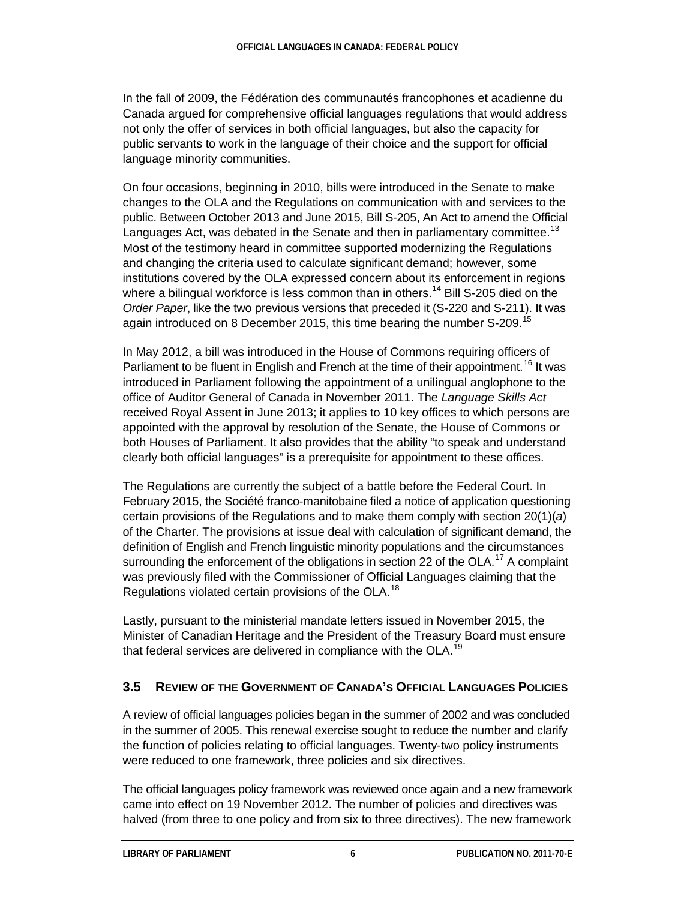In the fall of 2009, the Fédération des communautés francophones et acadienne du Canada argued for comprehensive official languages regulations that would address not only the offer of services in both official languages, but also the capacity for public servants to work in the language of their choice and the support for official language minority communities.

On four occasions, beginning in 2010, bills were introduced in the Senate to make changes to the OLA and the Regulations on communication with and services to the public. Between October 2013 and June 2015, Bill S-205, An Act to amend the Official Languages Act, was debated in the Senate and then in parliamentary committee.<sup>[13](#page-27-4)</sup> Most of the testimony heard in committee supported modernizing the Regulations and changing the criteria used to calculate significant demand; however, some institutions covered by the OLA expressed concern about its enforcement in regions where a bilingual workforce is less common than in others.<sup>[14](#page-27-5)</sup> Bill S-205 died on the *Order Paper*, like the two previous versions that preceded it (S-220 and S-211). It was again introduced on 8 December 20[15](#page-27-6), this time bearing the number S-209.<sup>15</sup>

In May 2012, a bill was introduced in the House of Commons requiring officers of Parliament to be fluent in English and French at the time of their appointment.<sup>[16](#page-27-7)</sup> It was introduced in Parliament following the appointment of a unilingual anglophone to the office of Auditor General of Canada in November 2011. The *Language Skills Act* received Royal Assent in June 2013; it applies to 10 key offices to which persons are appointed with the approval by resolution of the Senate, the House of Commons or both Houses of Parliament. It also provides that the ability "to speak and understand clearly both official languages" is a prerequisite for appointment to these offices.

The Regulations are currently the subject of a battle before the Federal Court. In February 2015, the Société franco-manitobaine filed a notice of application questioning certain provisions of the Regulations and to make them comply with section 20(1)(*a*) of the Charter. The provisions at issue deal with calculation of significant demand, the definition of English and French linguistic minority populations and the circumstances surrounding the enforcement of the obligations in section 22 of the OLA.<sup>[17](#page-27-8)</sup> A complaint was previously filed with the Commissioner of Official Languages claiming that the Regulations violated certain provisions of the OLA.<sup>[18](#page-27-9)</sup>

Lastly, pursuant to the ministerial mandate letters issued in November 2015, the Minister of Canadian Heritage and the President of the Treasury Board must ensure that federal services are delivered in compliance with the OLA.<sup>[19](#page-27-10)</sup>

## **3.5 REVIEW OF THE GOVERNMENT OF CANADA'S OFFICIAL LANGUAGES POLICIES**

A review of official languages policies began in the summer of 2002 and was concluded in the summer of 2005. This renewal exercise sought to reduce the number and clarify the function of policies relating to official languages. Twenty-two policy instruments were reduced to one framework, three policies and six directives.

The official languages policy framework was reviewed once again and a new framework came into effect on 19 November 2012. The number of policies and directives was halved (from three to one policy and from six to three directives). The new framework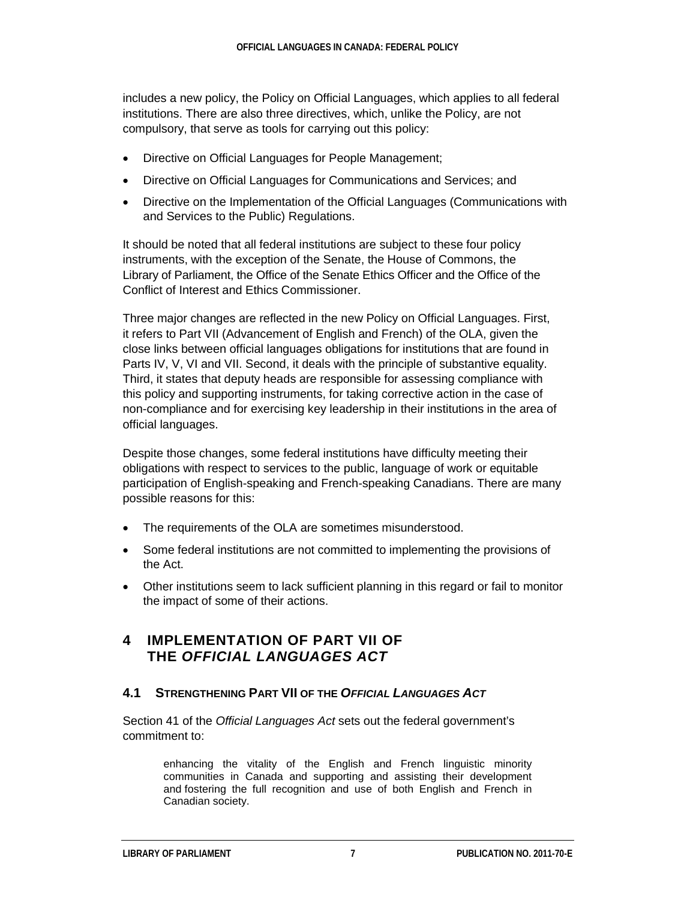includes a new policy, the Policy on Official Languages, which applies to all federal institutions. There are also three directives, which, unlike the Policy, are not compulsory, that serve as tools for carrying out this policy:

- Directive on Official Languages for People Management;
- Directive on Official Languages for Communications and Services; and
- Directive on the Implementation of the Official Languages (Communications with and Services to the Public) Regulations.

It should be noted that all federal institutions are subject to these four policy instruments, with the exception of the Senate, the House of Commons, the Library of Parliament, the Office of the Senate Ethics Officer and the Office of the Conflict of Interest and Ethics Commissioner.

Three major changes are reflected in the new Policy on Official Languages. First, it refers to Part VII (Advancement of English and French) of the OLA, given the close links between official languages obligations for institutions that are found in Parts IV, V, VI and VII. Second, it deals with the principle of substantive equality. Third, it states that deputy heads are responsible for assessing compliance with this policy and supporting instruments, for taking corrective action in the case of non-compliance and for exercising key leadership in their institutions in the area of official languages.

Despite those changes, some federal institutions have difficulty meeting their obligations with respect to services to the public, language of work or equitable participation of English-speaking and French-speaking Canadians. There are many possible reasons for this:

- The requirements of the OLA are sometimes misunderstood.
- Some federal institutions are not committed to implementing the provisions of the Act.
- Other institutions seem to lack sufficient planning in this regard or fail to monitor the impact of some of their actions.

## **4 IMPLEMENTATION OF PART VII OF THE** *OFFICIAL LANGUAGES ACT*

#### **4.1 STRENGTHENING PART VII OF THE** *OFFICIAL LANGUAGES ACT*

Section 41 of the *Official Languages Act* sets out the federal government's commitment to:

> enhancing the vitality of the English and French linguistic minority communities in Canada and supporting and assisting their development and fostering the full recognition and use of both English and French in Canadian society.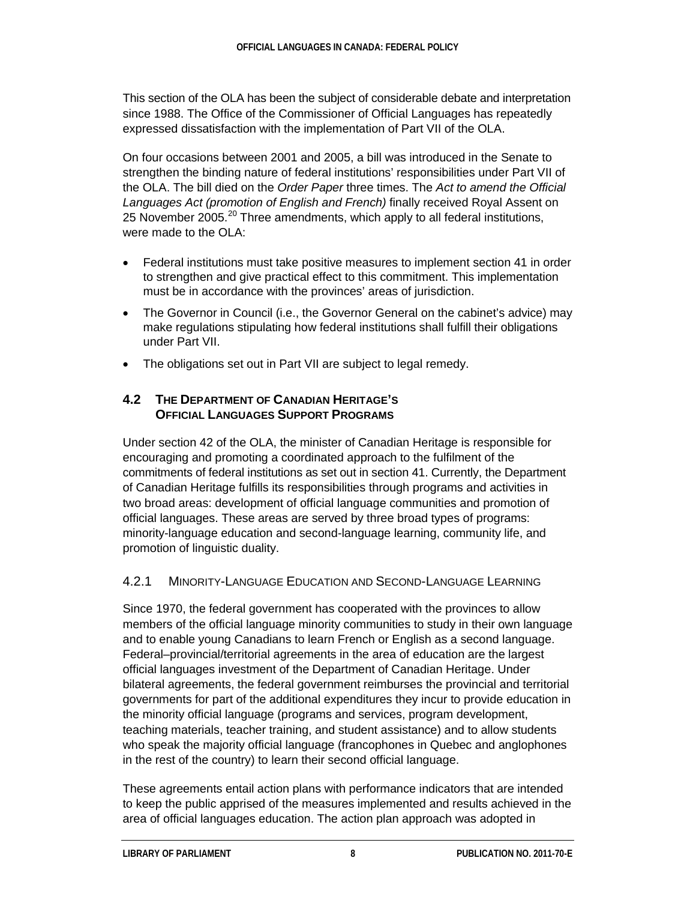This section of the OLA has been the subject of considerable debate and interpretation since 1988. The Office of the Commissioner of Official Languages has repeatedly expressed dissatisfaction with the implementation of Part VII of the OLA.

On four occasions between 2001 and 2005, a bill was introduced in the Senate to strengthen the binding nature of federal institutions' responsibilities under Part VII of the OLA. The bill died on the *Order Paper* three times. The *Act to amend the Official Languages Act (promotion of English and French)* finally received Royal Assent on 25 November [20](#page-27-11)05.<sup>20</sup> Three amendments, which apply to all federal institutions, were made to the OLA:

- Federal institutions must take positive measures to implement section 41 in order to strengthen and give practical effect to this commitment. This implementation must be in accordance with the provinces' areas of jurisdiction.
- The Governor in Council (i.e., the Governor General on the cabinet's advice) may make regulations stipulating how federal institutions shall fulfill their obligations under Part VII.
- The obligations set out in Part VII are subject to legal remedy.

#### **4.2 THE DEPARTMENT OF CANADIAN HERITAGE'S OFFICIAL LANGUAGES SUPPORT PROGRAMS**

Under section 42 of the OLA, the minister of Canadian Heritage is responsible for encouraging and promoting a coordinated approach to the fulfilment of the commitments of federal institutions as set out in section 41. Currently, the Department of Canadian Heritage fulfills its responsibilities through programs and activities in two broad areas: development of official language communities and promotion of official languages. These areas are served by three broad types of programs: minority-language education and second-language learning, community life, and promotion of linguistic duality.

## 4.2.1 MINORITY-LANGUAGE EDUCATION AND SECOND-LANGUAGE LEARNING

Since 1970, the federal government has cooperated with the provinces to allow members of the official language minority communities to study in their own language and to enable young Canadians to learn French or English as a second language. Federal–provincial/territorial agreements in the area of education are the largest official languages investment of the Department of Canadian Heritage. Under bilateral agreements, the federal government reimburses the provincial and territorial governments for part of the additional expenditures they incur to provide education in the minority official language (programs and services, program development, teaching materials, teacher training, and student assistance) and to allow students who speak the majority official language (francophones in Quebec and anglophones in the rest of the country) to learn their second official language.

These agreements entail action plans with performance indicators that are intended to keep the public apprised of the measures implemented and results achieved in the area of official languages education. The action plan approach was adopted in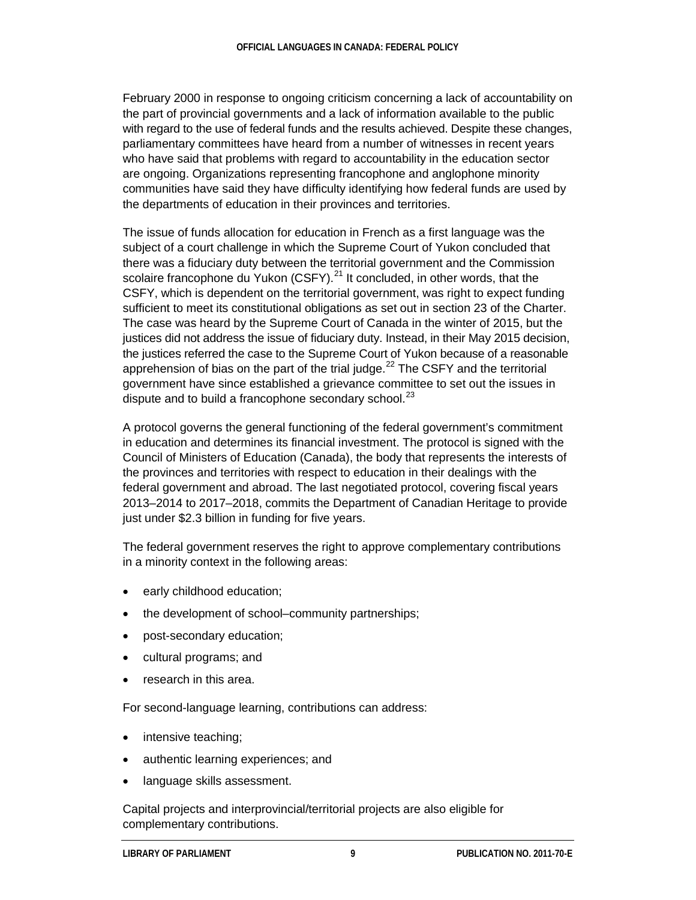February 2000 in response to ongoing criticism concerning a lack of accountability on the part of provincial governments and a lack of information available to the public with regard to the use of federal funds and the results achieved. Despite these changes, parliamentary committees have heard from a number of witnesses in recent years who have said that problems with regard to accountability in the education sector are ongoing. Organizations representing francophone and anglophone minority communities have said they have difficulty identifying how federal funds are used by the departments of education in their provinces and territories.

The issue of funds allocation for education in French as a first language was the subject of a court challenge in which the Supreme Court of Yukon concluded that there was a fiduciary duty between the territorial government and the Commission scolaire francophone du Yukon (CSFY).<sup>[21](#page-27-12)</sup> It concluded, in other words, that the CSFY, which is dependent on the territorial government, was right to expect funding sufficient to meet its constitutional obligations as set out in section 23 of the Charter. The case was heard by the Supreme Court of Canada in the winter of 2015, but the justices did not address the issue of fiduciary duty. Instead, in their May 2015 decision, the justices referred the case to the Supreme Court of Yukon because of a reasonable apprehension of bias on the part of the trial judge.<sup>[22](#page-27-13)</sup> The CSFY and the territorial government have since established a grievance committee to set out the issues in dispute and to build a francophone secondary school.<sup>[23](#page-27-14)</sup>

A protocol governs the general functioning of the federal government's commitment in education and determines its financial investment. The protocol is signed with the Council of Ministers of Education (Canada), the body that represents the interests of the provinces and territories with respect to education in their dealings with the federal government and abroad. The last negotiated protocol, covering fiscal years 2013–2014 to 2017–2018, commits the Department of Canadian Heritage to provide just under \$2.3 billion in funding for five years.

The federal government reserves the right to approve complementary contributions in a minority context in the following areas:

- early childhood education;
- the development of school–community partnerships;
- post-secondary education;
- cultural programs; and
- research in this area.

For second-language learning, contributions can address:

- intensive teaching;
- authentic learning experiences; and
- language skills assessment.

Capital projects and interprovincial/territorial projects are also eligible for complementary contributions.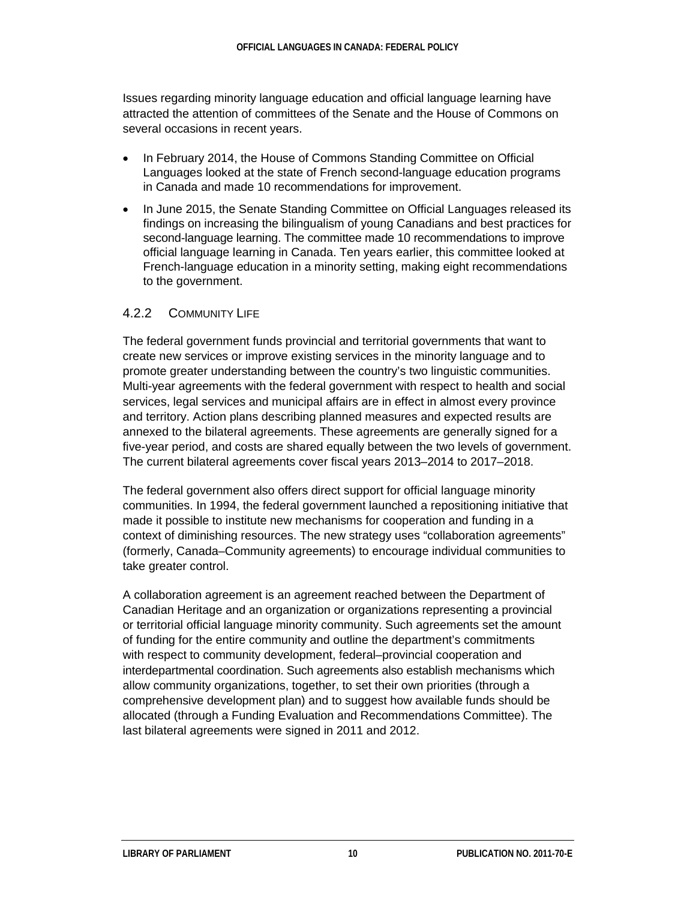Issues regarding minority language education and official language learning have attracted the attention of committees of the Senate and the House of Commons on several occasions in recent years.

- In February 2014, the House of Commons Standing Committee on Official Languages looked at the state of French second-language education programs in Canada and made 10 recommendations for improvement.
- In June 2015, the Senate Standing Committee on Official Languages released its findings on increasing the bilingualism of young Canadians and best practices for second-language learning. The committee made 10 recommendations to improve official language learning in Canada. Ten years earlier, this committee looked at French-language education in a minority setting, making eight recommendations to the government.

#### 4.2.2 COMMUNITY LIFE

The federal government funds provincial and territorial governments that want to create new services or improve existing services in the minority language and to promote greater understanding between the country's two linguistic communities. Multi-year agreements with the federal government with respect to health and social services, legal services and municipal affairs are in effect in almost every province and territory. Action plans describing planned measures and expected results are annexed to the bilateral agreements. These agreements are generally signed for a five-year period, and costs are shared equally between the two levels of government. The current bilateral agreements cover fiscal years 2013–2014 to 2017–2018.

The federal government also offers direct support for official language minority communities. In 1994, the federal government launched a repositioning initiative that made it possible to institute new mechanisms for cooperation and funding in a context of diminishing resources. The new strategy uses "collaboration agreements" (formerly, Canada–Community agreements) to encourage individual communities to take greater control.

A collaboration agreement is an agreement reached between the Department of Canadian Heritage and an organization or organizations representing a provincial or territorial official language minority community. Such agreements set the amount of funding for the entire community and outline the department's commitments with respect to community development, federal–provincial cooperation and interdepartmental coordination. Such agreements also establish mechanisms which allow community organizations, together, to set their own priorities (through a comprehensive development plan) and to suggest how available funds should be allocated (through a Funding Evaluation and Recommendations Committee). The last bilateral agreements were signed in 2011 and 2012.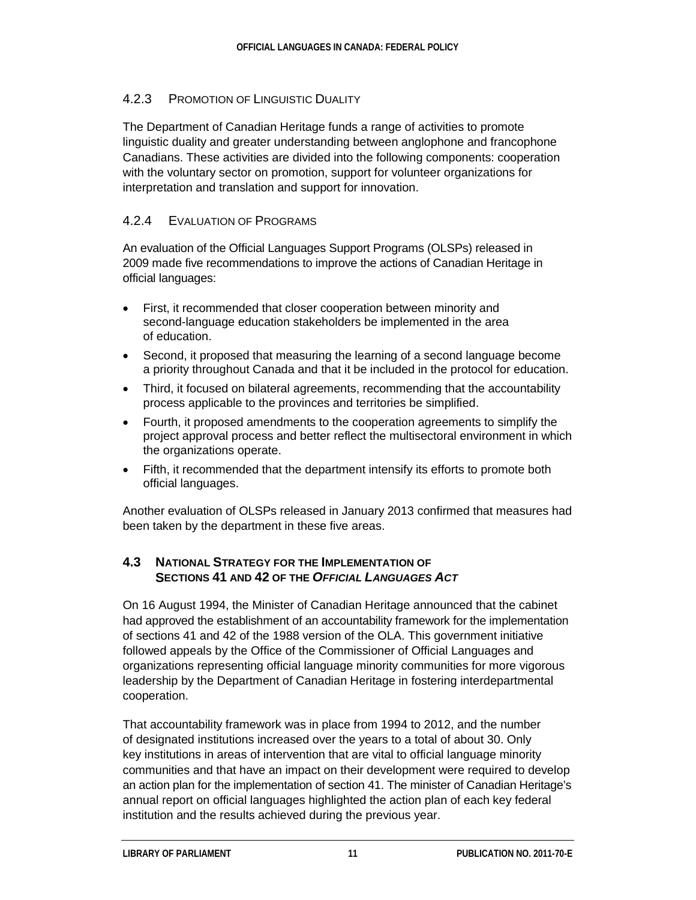#### 4.2.3 PROMOTION OF LINGUISTIC DUALITY

The Department of Canadian Heritage funds a range of activities to promote linguistic duality and greater understanding between anglophone and francophone Canadians. These activities are divided into the following components: cooperation with the voluntary sector on promotion, support for volunteer organizations for interpretation and translation and support for innovation.

#### 4.2.4 EVALUATION OF PROGRAMS

An evaluation of the Official Languages Support Programs (OLSPs) released in 2009 made five recommendations to improve the actions of Canadian Heritage in official languages:

- First, it recommended that closer cooperation between minority and second-language education stakeholders be implemented in the area of education.
- Second, it proposed that measuring the learning of a second language become a priority throughout Canada and that it be included in the protocol for education.
- Third, it focused on bilateral agreements, recommending that the accountability process applicable to the provinces and territories be simplified.
- Fourth, it proposed amendments to the cooperation agreements to simplify the project approval process and better reflect the multisectoral environment in which the organizations operate.
- Fifth, it recommended that the department intensify its efforts to promote both official languages.

Another evaluation of OLSPs released in January 2013 confirmed that measures had been taken by the department in these five areas.

#### **4.3 NATIONAL STRATEGY FOR THE IMPLEMENTATION OF SECTIONS 41 AND 42 OF THE** *OFFICIAL LANGUAGES ACT*

On 16 August 1994, the Minister of Canadian Heritage announced that the cabinet had approved the establishment of an accountability framework for the implementation of sections 41 and 42 of the 1988 version of the OLA. This government initiative followed appeals by the Office of the Commissioner of Official Languages and organizations representing official language minority communities for more vigorous leadership by the Department of Canadian Heritage in fostering interdepartmental cooperation.

That accountability framework was in place from 1994 to 2012, and the number of designated institutions increased over the years to a total of about 30. Only key institutions in areas of intervention that are vital to official language minority communities and that have an impact on their development were required to develop an action plan for the implementation of section 41. The minister of Canadian Heritage's annual report on official languages highlighted the action plan of each key federal institution and the results achieved during the previous year.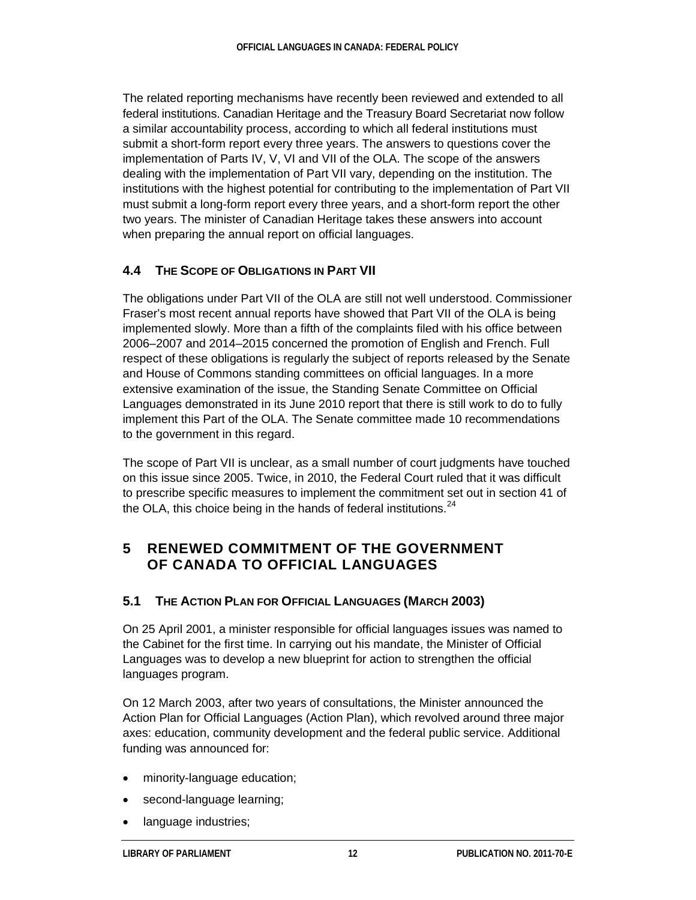The related reporting mechanisms have recently been reviewed and extended to all federal institutions. Canadian Heritage and the Treasury Board Secretariat now follow a similar accountability process, according to which all federal institutions must submit a short-form report every three years. The answers to questions cover the implementation of Parts IV, V, VI and VII of the OLA. The scope of the answers dealing with the implementation of Part VII vary, depending on the institution. The institutions with the highest potential for contributing to the implementation of Part VII must submit a long-form report every three years, and a short-form report the other two years. The minister of Canadian Heritage takes these answers into account when preparing the annual report on official languages.

## **4.4 THE SCOPE OF OBLIGATIONS IN PART VII**

The obligations under Part VII of the OLA are still not well understood. Commissioner Fraser's most recent annual reports have showed that Part VII of the OLA is being implemented slowly. More than a fifth of the complaints filed with his office between 2006–2007 and 2014–2015 concerned the promotion of English and French. Full respect of these obligations is regularly the subject of reports released by the Senate and House of Commons standing committees on official languages. In a more extensive examination of the issue, the Standing Senate Committee on Official Languages demonstrated in its June 2010 report that there is still work to do to fully implement this Part of the OLA. The Senate committee made 10 recommendations to the government in this regard.

The scope of Part VII is unclear, as a small number of court judgments have touched on this issue since 2005. Twice, in 2010, the Federal Court ruled that it was difficult to prescribe specific measures to implement the commitment set out in section 41 of the OLA, this choice being in the hands of federal institutions.  $24$ 

## **5 RENEWED COMMITMENT OF THE GOVERNMENT OF CANADA TO OFFICIAL LANGUAGES**

#### **5.1 THE ACTION PLAN FOR OFFICIAL LANGUAGES (MARCH 2003)**

On 25 April 2001, a minister responsible for official languages issues was named to the Cabinet for the first time. In carrying out his mandate, the Minister of Official Languages was to develop a new blueprint for action to strengthen the official languages program.

On 12 March 2003, after two years of consultations, the Minister announced the Action Plan for Official Languages (Action Plan), which revolved around three major axes: education, community development and the federal public service. Additional funding was announced for:

- minority-language education;
- second-language learning;
- language industries;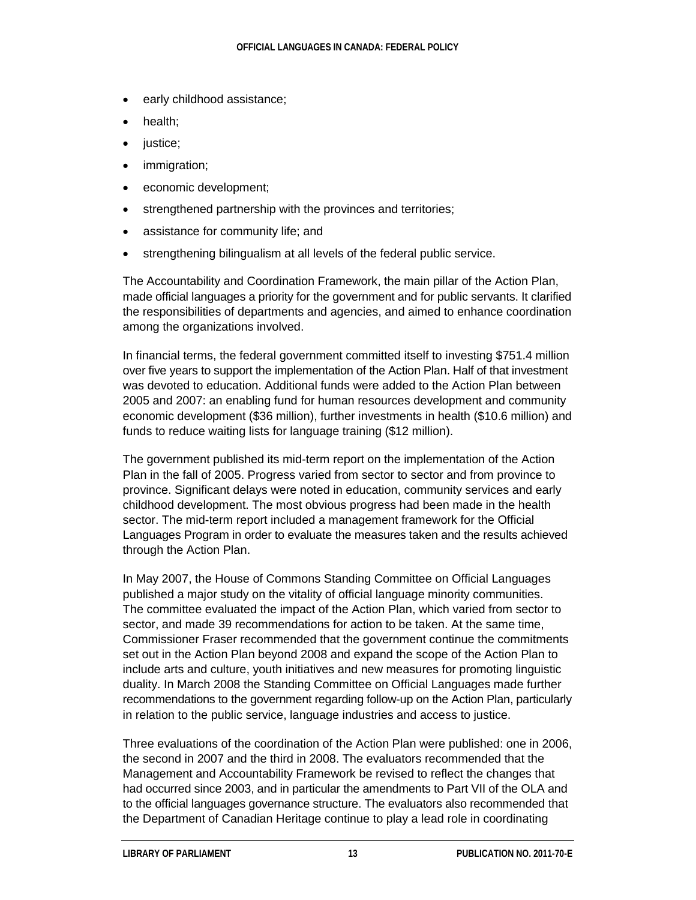- early childhood assistance;
- health:
- justice;
- immigration;
- economic development;
- strengthened partnership with the provinces and territories;
- assistance for community life; and
- strengthening bilingualism at all levels of the federal public service.

The Accountability and Coordination Framework, the main pillar of the Action Plan, made official languages a priority for the government and for public servants. It clarified the responsibilities of departments and agencies, and aimed to enhance coordination among the organizations involved.

In financial terms, the federal government committed itself to investing \$751.4 million over five years to support the implementation of the Action Plan. Half of that investment was devoted to education. Additional funds were added to the Action Plan between 2005 and 2007: an enabling fund for human resources development and community economic development (\$36 million), further investments in health (\$10.6 million) and funds to reduce waiting lists for language training (\$12 million).

The government published its mid-term report on the implementation of the Action Plan in the fall of 2005. Progress varied from sector to sector and from province to province. Significant delays were noted in education, community services and early childhood development. The most obvious progress had been made in the health sector. The mid-term report included a management framework for the Official Languages Program in order to evaluate the measures taken and the results achieved through the Action Plan.

In May 2007, the House of Commons Standing Committee on Official Languages published a major study on the vitality of official language minority communities. The committee evaluated the impact of the Action Plan, which varied from sector to sector, and made 39 recommendations for action to be taken. At the same time, Commissioner Fraser recommended that the government continue the commitments set out in the Action Plan beyond 2008 and expand the scope of the Action Plan to include arts and culture, youth initiatives and new measures for promoting linguistic duality. In March 2008 the Standing Committee on Official Languages made further recommendations to the government regarding follow-up on the Action Plan, particularly in relation to the public service, language industries and access to justice.

Three evaluations of the coordination of the Action Plan were published: one in 2006, the second in 2007 and the third in 2008. The evaluators recommended that the Management and Accountability Framework be revised to reflect the changes that had occurred since 2003, and in particular the amendments to Part VII of the OLA and to the official languages governance structure. The evaluators also recommended that the Department of Canadian Heritage continue to play a lead role in coordinating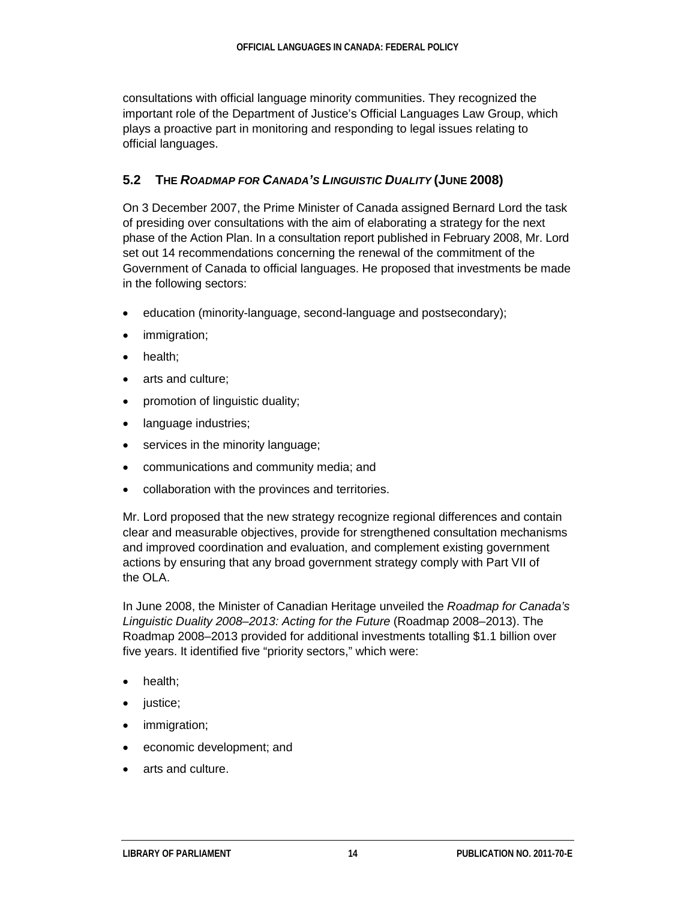consultations with official language minority communities. They recognized the important role of the Department of Justice's Official Languages Law Group, which plays a proactive part in monitoring and responding to legal issues relating to official languages.

### **5.2 THE** *ROADMAP FOR CANADA'S LINGUISTIC DUALITY* **(JUNE 2008)**

On 3 December 2007, the Prime Minister of Canada assigned Bernard Lord the task of presiding over consultations with the aim of elaborating a strategy for the next phase of the Action Plan. In a consultation report published in February 2008, Mr. Lord set out 14 recommendations concerning the renewal of the commitment of the Government of Canada to official languages. He proposed that investments be made in the following sectors:

- education (minority-language, second-language and postsecondary);
- immigration;
- health;
- arts and culture;
- promotion of linguistic duality;
- language industries;
- services in the minority language;
- communications and community media; and
- collaboration with the provinces and territories.

Mr. Lord proposed that the new strategy recognize regional differences and contain clear and measurable objectives, provide for strengthened consultation mechanisms and improved coordination and evaluation, and complement existing government actions by ensuring that any broad government strategy comply with Part VII of the OLA.

In June 2008, the Minister of Canadian Heritage unveiled the *Roadmap for Canada's Linguistic Duality 2008–2013: Acting for the Future* (Roadmap 2008–2013). The Roadmap 2008–2013 provided for additional investments totalling \$1.1 billion over five years. It identified five "priority sectors," which were:

- health;
- justice;
- immigration;
- economic development; and
- arts and culture.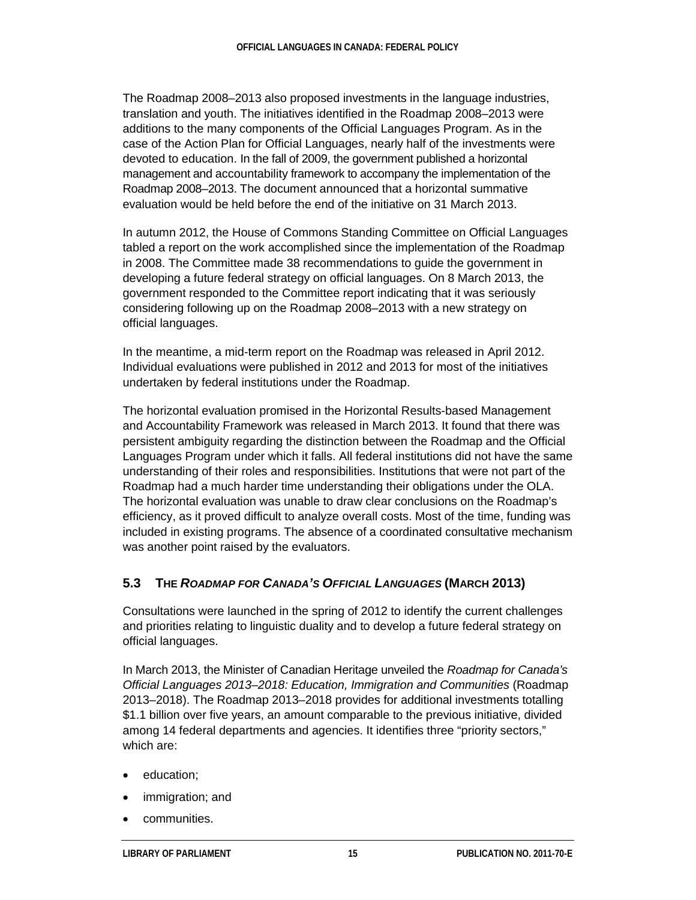The Roadmap 2008–2013 also proposed investments in the language industries, translation and youth. The initiatives identified in the Roadmap 2008–2013 were additions to the many components of the Official Languages Program. As in the case of the Action Plan for Official Languages, nearly half of the investments were devoted to education. In the fall of 2009, the government published a horizontal management and accountability framework to accompany the implementation of the Roadmap 2008–2013. The document announced that a horizontal summative evaluation would be held before the end of the initiative on 31 March 2013.

In autumn 2012, the House of Commons Standing Committee on Official Languages tabled a report on the work accomplished since the implementation of the Roadmap in 2008. The Committee made 38 recommendations to guide the government in developing a future federal strategy on official languages. On 8 March 2013, the government responded to the Committee report indicating that it was seriously considering following up on the Roadmap 2008–2013 with a new strategy on official languages.

In the meantime, a mid-term report on the Roadmap was released in April 2012. Individual evaluations were published in 2012 and 2013 for most of the initiatives undertaken by federal institutions under the Roadmap.

The horizontal evaluation promised in the Horizontal Results-based Management and Accountability Framework was released in March 2013. It found that there was persistent ambiguity regarding the distinction between the Roadmap and the Official Languages Program under which it falls. All federal institutions did not have the same understanding of their roles and responsibilities. Institutions that were not part of the Roadmap had a much harder time understanding their obligations under the OLA. The horizontal evaluation was unable to draw clear conclusions on the Roadmap's efficiency, as it proved difficult to analyze overall costs. Most of the time, funding was included in existing programs. The absence of a coordinated consultative mechanism was another point raised by the evaluators.

#### **5.3 THE** *ROADMAP FOR CANADA'S OFFICIAL LANGUAGES* **(MARCH 2013)**

Consultations were launched in the spring of 2012 to identify the current challenges and priorities relating to linguistic duality and to develop a future federal strategy on official languages.

In March 2013, the Minister of Canadian Heritage unveiled the *Roadmap for Canada's Official Languages 2013–2018: Education, Immigration and Communities* (Roadmap 2013–2018). The Roadmap 2013–2018 provides for additional investments totalling \$1.1 billion over five years, an amount comparable to the previous initiative, divided among 14 federal departments and agencies. It identifies three "priority sectors," which are:

- education;
- immigration; and
- communities.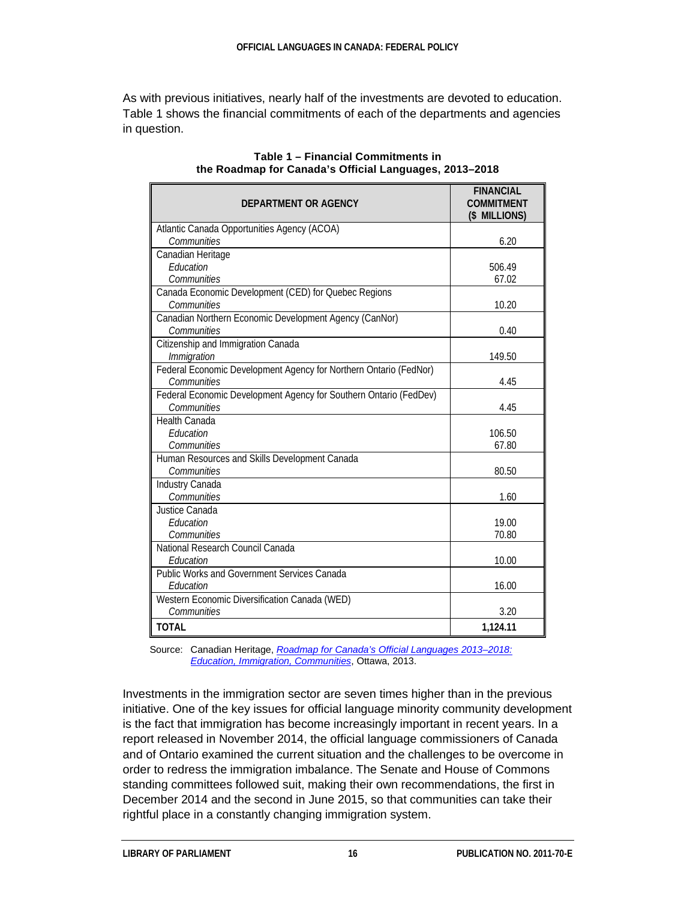As with previous initiatives, nearly half of the investments are devoted to education. Table 1 shows the financial commitments of each of the departments and agencies in question.

| DEPARTMENT OR AGENCY                                              | <b>FINANCIAL</b><br><b>COMMITMENT</b><br>(\$ MILLIONS) |
|-------------------------------------------------------------------|--------------------------------------------------------|
| Atlantic Canada Opportunities Agency (ACOA)<br>Communities        | 6.20                                                   |
| Canadian Heritage                                                 |                                                        |
| Education                                                         | 506.49                                                 |
| Communities                                                       | 67.02                                                  |
| Canada Economic Development (CED) for Quebec Regions              |                                                        |
| Communities                                                       | 10.20                                                  |
| Canadian Northern Economic Development Agency (CanNor)            |                                                        |
| Communities                                                       | 0.40                                                   |
| Citizenship and Immigration Canada                                |                                                        |
| Immigration                                                       | 149.50                                                 |
| Federal Economic Development Agency for Northern Ontario (FedNor) |                                                        |
| Communities                                                       | 4.45                                                   |
| Federal Economic Development Agency for Southern Ontario (FedDev) |                                                        |
| Communities                                                       | 4.45                                                   |
| <b>Health Canada</b>                                              |                                                        |
| <b>F</b> ducation                                                 | 106.50                                                 |
| Communities                                                       | 67.80                                                  |
| Human Resources and Skills Development Canada                     |                                                        |
| Communities                                                       | 80.50                                                  |
| Industry Canada                                                   |                                                        |
| Communities                                                       | 1.60                                                   |
| Justice Canada                                                    |                                                        |
| Education                                                         | 19.00                                                  |
| Communities                                                       | 70.80                                                  |
| National Research Council Canada                                  |                                                        |
| Education                                                         | 10.00                                                  |
| <b>Public Works and Government Services Canada</b>                |                                                        |
| Education                                                         | 16.00                                                  |
| Western Economic Diversification Canada (WED)                     |                                                        |
| Communities                                                       | 3.20                                                   |
| <b>TOTAL</b>                                                      | 1,124.11                                               |

#### **Table 1 – Financial Commitments in the Roadmap for Canada's Official Languages, 2013–2018**

Source: Canadian Heritage, *[Roadmap for Canada's Official Languages 2013–2018:](http://www.pch.gc.ca/eng/1363882822690)  [Education, Immigration, Communities](http://www.pch.gc.ca/eng/1363882822690)*, Ottawa, 2013.

Investments in the immigration sector are seven times higher than in the previous initiative. One of the key issues for official language minority community development is the fact that immigration has become increasingly important in recent years. In a report released in November 2014, the official language commissioners of Canada and of Ontario examined the current situation and the challenges to be overcome in order to redress the immigration imbalance. The Senate and House of Commons standing committees followed suit, making their own recommendations, the first in December 2014 and the second in June 2015, so that communities can take their rightful place in a constantly changing immigration system.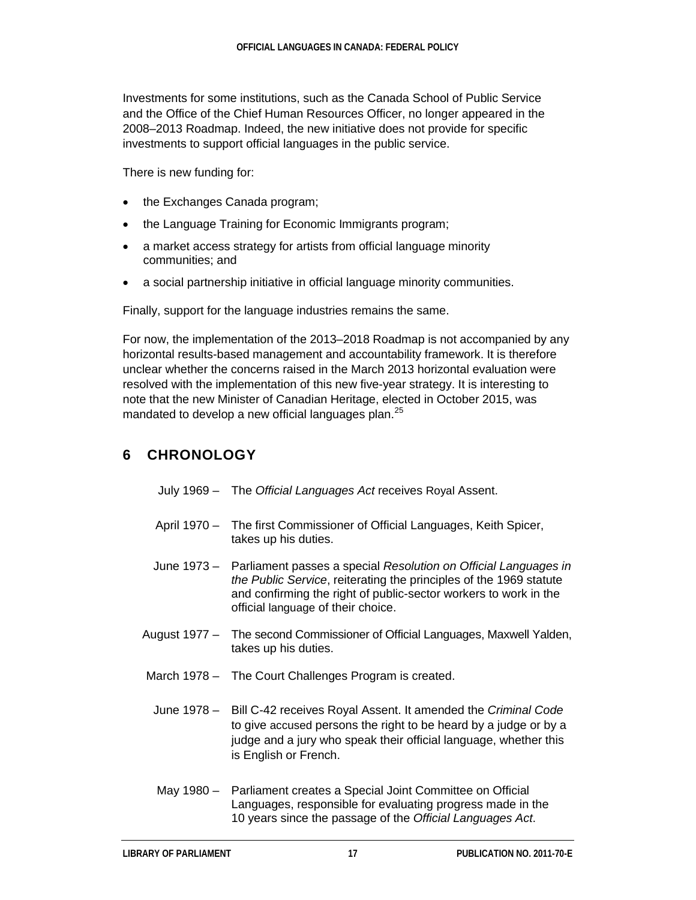Investments for some institutions, such as the Canada School of Public Service and the Office of the Chief Human Resources Officer, no longer appeared in the 2008–2013 Roadmap. Indeed, the new initiative does not provide for specific investments to support official languages in the public service.

There is new funding for:

- the Exchanges Canada program;
- the Language Training for Economic Immigrants program;
- a market access strategy for artists from official language minority communities; and
- a social partnership initiative in official language minority communities.

Finally, support for the language industries remains the same.

For now, the implementation of the 2013–2018 Roadmap is not accompanied by any horizontal results-based management and accountability framework. It is therefore unclear whether the concerns raised in the March 2013 horizontal evaluation were resolved with the implementation of this new five-year strategy. It is interesting to note that the new Minister of Canadian Heritage, elected in October 2015, was mandated to develop a new official languages plan.<sup>[25](#page-27-16)</sup>

## **6 CHRONOLOGY**

July 1969 – The *Official Languages Act* receives Royal Assent.

- April 1970 The first Commissioner of Official Languages, Keith Spicer, takes up his duties.
- June 1973 Parliament passes a special *Resolution on Official Languages in the Public Service*, reiterating the principles of the 1969 statute and confirming the right of public-sector workers to work in the official language of their choice.
- August 1977 The second Commissioner of Official Languages, Maxwell Yalden, takes up his duties.
- March 1978 The Court Challenges Program is created.
- June 1978 Bill C-42 receives Royal Assent. It amended the *Criminal Code* to give accused persons the right to be heard by a judge or by a judge and a jury who speak their official language, whether this is English or French.
- May 1980 Parliament creates a Special Joint Committee on Official Languages, responsible for evaluating progress made in the 10 years since the passage of the *Official Languages Act*.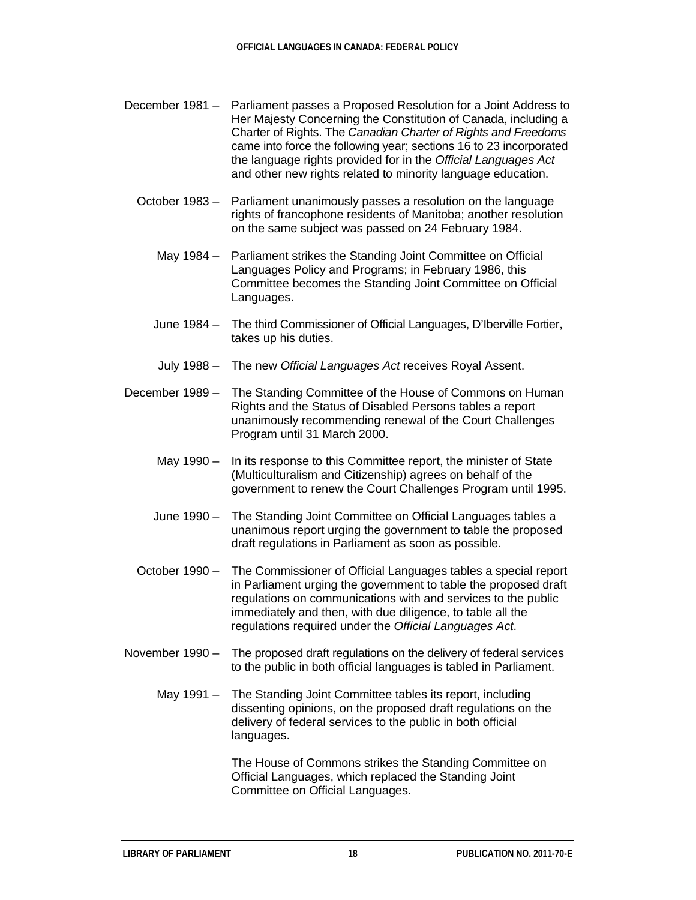- December 1981 Parliament passes a Proposed Resolution for a Joint Address to Her Majesty Concerning the Constitution of Canada, including a Charter of Rights. The *Canadian Charter of Rights and Freedoms* came into force the following year; sections 16 to 23 incorporated the language rights provided for in the *Official Languages Act* and other new rights related to minority language education.
	- October 1983 Parliament unanimously passes a resolution on the language rights of francophone residents of Manitoba; another resolution on the same subject was passed on 24 February 1984.
		- May 1984 Parliament strikes the Standing Joint Committee on Official Languages Policy and Programs; in February 1986, this Committee becomes the Standing Joint Committee on Official Languages.
		- June 1984 The third Commissioner of Official Languages, D'Iberville Fortier, takes up his duties.
		- July 1988 The new *Official Languages Act* receives Royal Assent.
- December 1989 The Standing Committee of the House of Commons on Human Rights and the Status of Disabled Persons tables a report unanimously recommending renewal of the Court Challenges Program until 31 March 2000.
	- May 1990 In its response to this Committee report, the minister of State (Multiculturalism and Citizenship) agrees on behalf of the government to renew the Court Challenges Program until 1995.
	- June 1990 The Standing Joint Committee on Official Languages tables a unanimous report urging the government to table the proposed draft regulations in Parliament as soon as possible.
	- October 1990 The Commissioner of Official Languages tables a special report in Parliament urging the government to table the proposed draft regulations on communications with and services to the public immediately and then, with due diligence, to table all the regulations required under the *Official Languages Act*.
- November 1990 The proposed draft regulations on the delivery of federal services to the public in both official languages is tabled in Parliament.
	- May 1991 The Standing Joint Committee tables its report, including dissenting opinions, on the proposed draft regulations on the delivery of federal services to the public in both official languages.

The House of Commons strikes the Standing Committee on Official Languages, which replaced the Standing Joint Committee on Official Languages.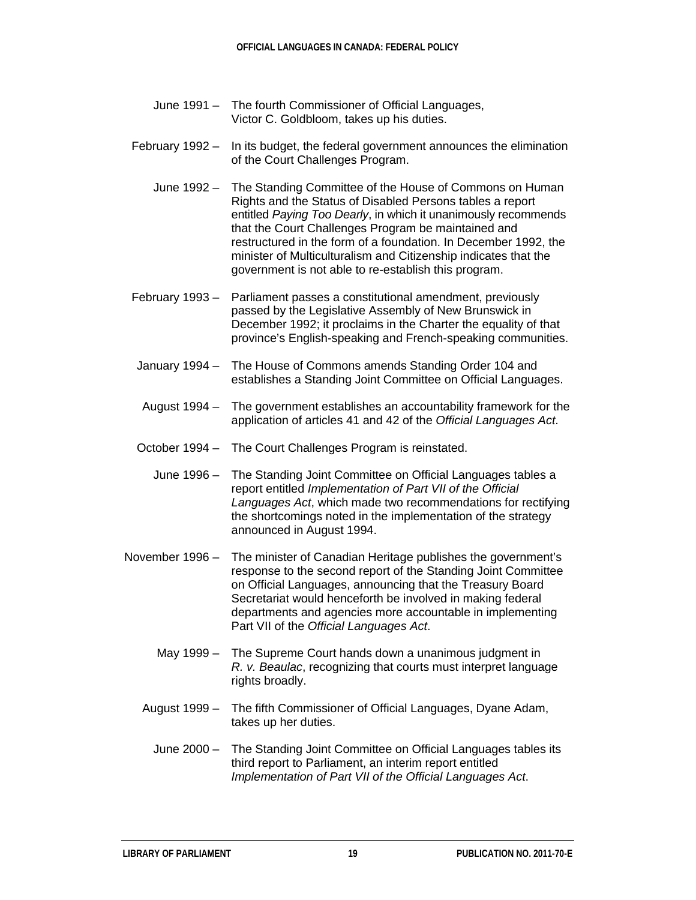- June 1991 The fourth Commissioner of Official Languages, Victor C. Goldbloom, takes up his duties.
- February 1992 In its budget, the federal government announces the elimination of the Court Challenges Program.
	- June 1992 The Standing Committee of the House of Commons on Human Rights and the Status of Disabled Persons tables a report entitled *Paying Too Dearly*, in which it unanimously recommends that the Court Challenges Program be maintained and restructured in the form of a foundation. In December 1992, the minister of Multiculturalism and Citizenship indicates that the government is not able to re-establish this program.
- February 1993 Parliament passes a constitutional amendment, previously passed by the Legislative Assembly of New Brunswick in December 1992; it proclaims in the Charter the equality of that province's English-speaking and French-speaking communities.
- January 1994 The House of Commons amends Standing Order 104 and establishes a Standing Joint Committee on Official Languages.
- August 1994 The government establishes an accountability framework for the application of articles 41 and 42 of the *Official Languages Act*.
- October 1994 The Court Challenges Program is reinstated.
	- June 1996 The Standing Joint Committee on Official Languages tables a report entitled *Implementation of Part VII of the Official Languages Act*, which made two recommendations for rectifying the shortcomings noted in the implementation of the strategy announced in August 1994.
- November 1996 The minister of Canadian Heritage publishes the government's response to the second report of the Standing Joint Committee on Official Languages, announcing that the Treasury Board Secretariat would henceforth be involved in making federal departments and agencies more accountable in implementing Part VII of the *Official Languages Act*.
	- May 1999 The Supreme Court hands down a unanimous judgment in *R. v. Beaulac*, recognizing that courts must interpret language rights broadly.
	- August 1999 The fifth Commissioner of Official Languages, Dyane Adam, takes up her duties.
		- June 2000 The Standing Joint Committee on Official Languages tables its third report to Parliament, an interim report entitled *Implementation of Part VII of the Official Languages Act*.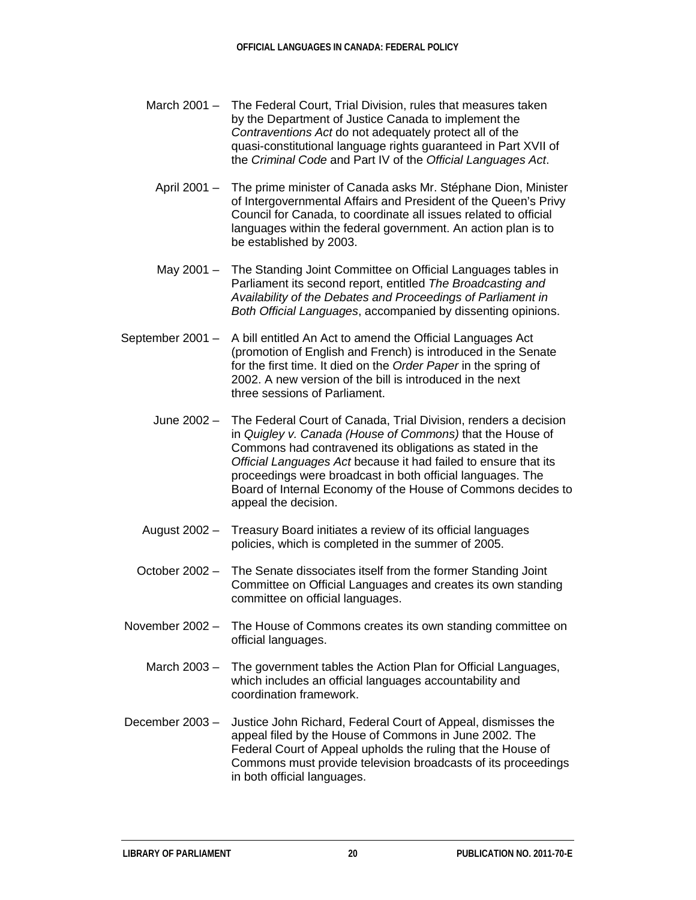- March 2001 The Federal Court, Trial Division, rules that measures taken by the Department of Justice Canada to implement the *Contraventions Act* do not adequately protect all of the quasi-constitutional language rights guaranteed in Part XVII of the *Criminal Code* and Part IV of the *Official Languages Act*.
	- April 2001 The prime minister of Canada asks Mr. Stéphane Dion, Minister of Intergovernmental Affairs and President of the Queen's Privy Council for Canada, to coordinate all issues related to official languages within the federal government. An action plan is to be established by 2003.
	- May 2001 The Standing Joint Committee on Official Languages tables in Parliament its second report, entitled *The Broadcasting and Availability of the Debates and Proceedings of Parliament in Both Official Languages*, accompanied by dissenting opinions.
- September 2001 A bill entitled An Act to amend the Official Languages Act (promotion of English and French) is introduced in the Senate for the first time. It died on the *Order Paper* in the spring of 2002. A new version of the bill is introduced in the next three sessions of Parliament.
	- June 2002 The Federal Court of Canada, Trial Division, renders a decision in *Quigley v. Canada (House of Commons)* that the House of Commons had contravened its obligations as stated in the *Official Languages Act* because it had failed to ensure that its proceedings were broadcast in both official languages. The Board of Internal Economy of the House of Commons decides to appeal the decision.
	- August 2002 Treasury Board initiates a review of its official languages policies, which is completed in the summer of 2005.
	- October 2002 The Senate dissociates itself from the former Standing Joint Committee on Official Languages and creates its own standing committee on official languages.
- November 2002 The House of Commons creates its own standing committee on official languages.
	- March 2003 The government tables the Action Plan for Official Languages, which includes an official languages accountability and coordination framework.
- December 2003 Justice John Richard, Federal Court of Appeal, dismisses the appeal filed by the House of Commons in June 2002. The Federal Court of Appeal upholds the ruling that the House of Commons must provide television broadcasts of its proceedings in both official languages.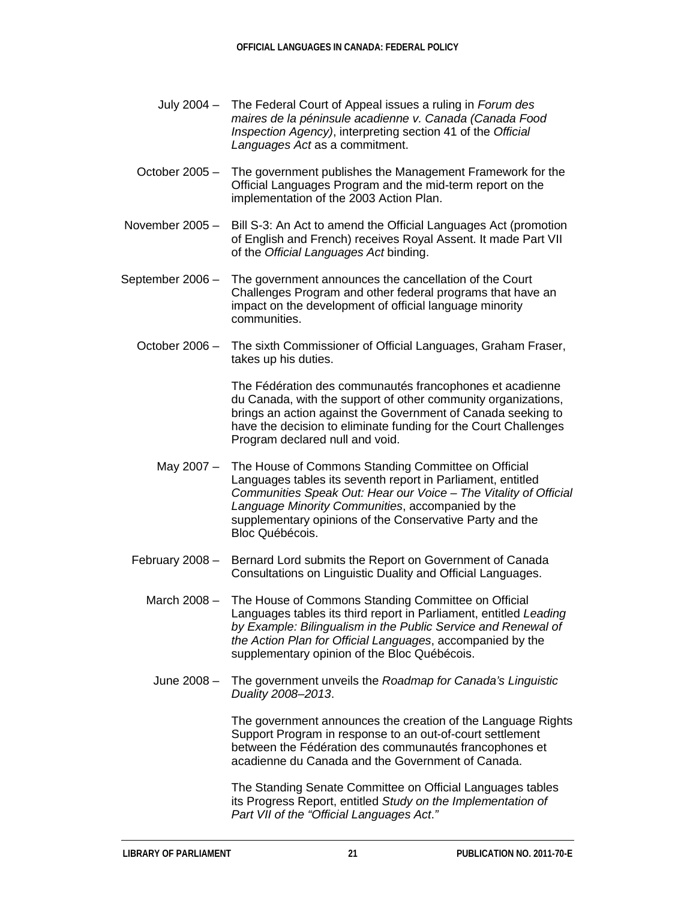- July 2004 The Federal Court of Appeal issues a ruling in *Forum des maires de la péninsule acadienne v. Canada (Canada Food Inspection Agency)*, interpreting section 41 of the *Official Languages Act* as a commitment.
- October 2005 The government publishes the Management Framework for the Official Languages Program and the mid-term report on the implementation of the 2003 Action Plan.
- November 2005 Bill S-3: An Act to amend the Official Languages Act (promotion of English and French) receives Royal Assent. It made Part VII of the *Official Languages Act* binding.
- September 2006 The government announces the cancellation of the Court Challenges Program and other federal programs that have an impact on the development of official language minority communities.
	- October 2006 The sixth Commissioner of Official Languages, Graham Fraser, takes up his duties.

The Fédération des communautés francophones et acadienne du Canada, with the support of other community organizations, brings an action against the Government of Canada seeking to have the decision to eliminate funding for the Court Challenges Program declared null and void.

- May 2007 The House of Commons Standing Committee on Official Languages tables its seventh report in Parliament, entitled *Communities Speak Out: Hear our Voice – The Vitality of Official Language Minority Communities*, accompanied by the supplementary opinions of the Conservative Party and the Bloc Québécois.
- February 2008 Bernard Lord submits the Report on Government of Canada Consultations on Linguistic Duality and Official Languages.
	- March 2008 The House of Commons Standing Committee on Official Languages tables its third report in Parliament, entitled *Leading by Example: Bilingualism in the Public Service and Renewal of the Action Plan for Official Languages*, accompanied by the supplementary opinion of the Bloc Québécois.
	- June 2008 The government unveils the *Roadmap for Canada's Linguistic Duality 2008–2013*.

The government announces the creation of the Language Rights Support Program in response to an out-of-court settlement between the Fédération des communautés francophones et acadienne du Canada and the Government of Canada.

The Standing Senate Committee on Official Languages tables its Progress Report, entitled *Study on the Implementation of Part VII of the "Official Languages Act*.*"*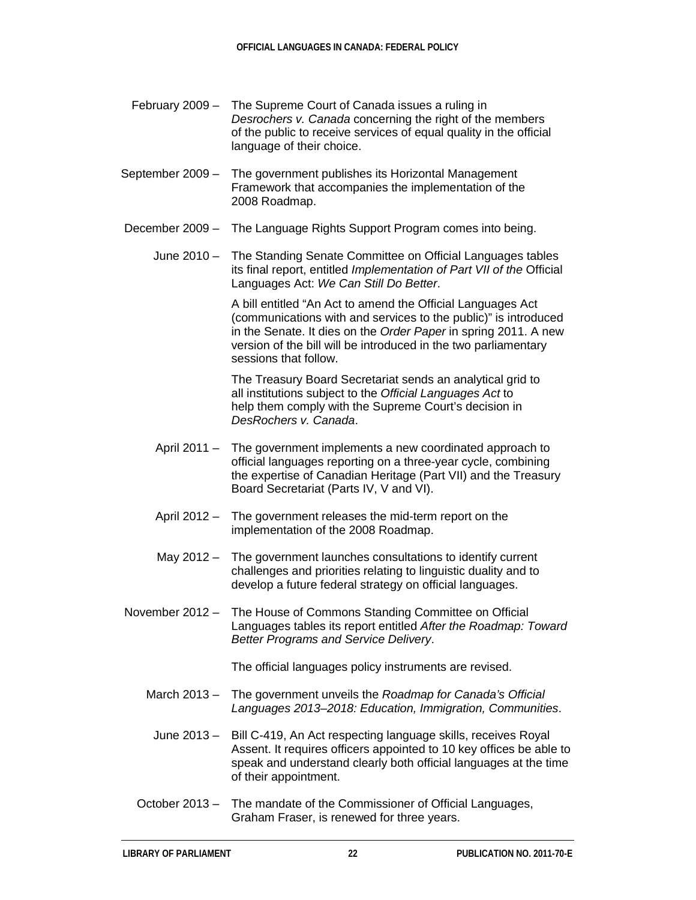- February 2009 The Supreme Court of Canada issues a ruling in *Desrochers v. Canada* concerning the right of the members of the public to receive services of equal quality in the official language of their choice.
- September 2009 The government publishes its Horizontal Management Framework that accompanies the implementation of the 2008 Roadmap.
- December 2009 The Language Rights Support Program comes into being.
	- June 2010 The Standing Senate Committee on Official Languages tables its final report, entitled *Implementation of Part VII of the* Official Languages Act: *We Can Still Do Better*.

A bill entitled "An Act to amend the Official Languages Act (communications with and services to the public)" is introduced in the Senate. It dies on the *Order Paper* in spring 2011. A new version of the bill will be introduced in the two parliamentary sessions that follow.

The Treasury Board Secretariat sends an analytical grid to all institutions subject to the *Official Languages Act* to help them comply with the Supreme Court's decision in *DesRochers v. Canada*.

- April 2011 The government implements a new coordinated approach to official languages reporting on a three-year cycle, combining the expertise of Canadian Heritage (Part VII) and the Treasury Board Secretariat (Parts IV, V and VI).
- April 2012 The government releases the mid-term report on the implementation of the 2008 Roadmap.
- May 2012 The government launches consultations to identify current challenges and priorities relating to linguistic duality and to develop a future federal strategy on official languages.
- November 2012 The House of Commons Standing Committee on Official Languages tables its report entitled *After the Roadmap: Toward Better Programs and Service Delivery*.

The official languages policy instruments are revised.

- March 2013 The government unveils the *Roadmap for Canada's Official Languages 2013–2018: Education, Immigration, Communities*.
- June 2013 Bill C-419, An Act respecting language skills, receives Royal Assent. It requires officers appointed to 10 key offices be able to speak and understand clearly both official languages at the time of their appointment.
- October 2013 The mandate of the Commissioner of Official Languages, Graham Fraser, is renewed for three years.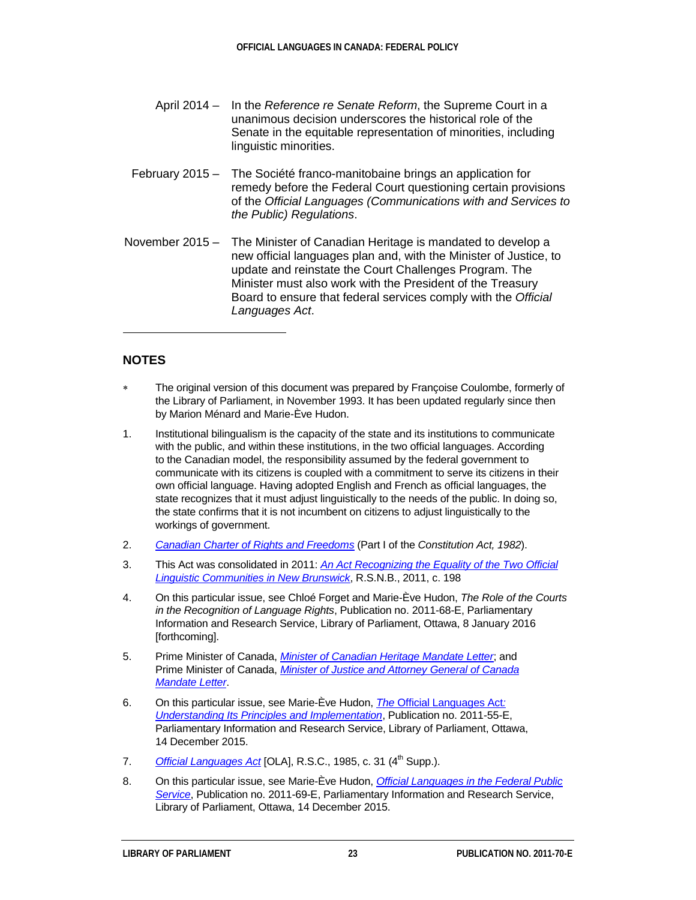- April 2014 In the *Reference re Senate Reform*, the Supreme Court in a unanimous decision underscores the historical role of the Senate in the equitable representation of minorities, including linguistic minorities.
- February 2015 The Société franco-manitobaine brings an application for remedy before the Federal Court questioning certain provisions of the *Official Languages (Communications with and Services to the Public) Regulations*.
- November 2015 The Minister of Canadian Heritage is mandated to develop a new official languages plan and, with the Minister of Justice, to update and reinstate the Court Challenges Program. The Minister must also work with the President of the Treasury Board to ensure that federal services comply with the *Official Languages Act*.

#### **NOTES**

 $\ddot{ }$ 

- <span id="page-26-0"></span>The original version of this document was prepared by Francoise Coulombe, formerly of the Library of Parliament, in November 1993. It has been updated regularly since then by Marion Ménard and Marie-Ève Hudon.
- <span id="page-26-1"></span>1. Institutional bilingualism is the capacity of the state and its institutions to communicate with the public, and within these institutions, in the two official languages. According to the Canadian model, the responsibility assumed by the federal government to communicate with its citizens is coupled with a commitment to serve its citizens in their own official language. Having adopted English and French as official languages, the state recognizes that it must adjust linguistically to the needs of the public. In doing so, the state confirms that it is not incumbent on citizens to adjust linguistically to the workings of government.
- <span id="page-26-2"></span>2. *Canadian [Charter of Rights and Freedoms](http://laws-lois.justice.gc.ca/eng/const/page-15.html)* (Part I of the *Constitution Act, 1982*).
- <span id="page-26-3"></span>3. This Act was consolidated in 2011: *[An Act Recognizing the Equality of the Two Official](https://www.canlii.org/en/nb/laws/stat/rsnb-2011-c-198/latest/rsnb-2011-c-198.html)  [Linguistic Communities in New Brunswick](https://www.canlii.org/en/nb/laws/stat/rsnb-2011-c-198/latest/rsnb-2011-c-198.html)*, R.S.N.B., 2011, c. 198
- <span id="page-26-4"></span>4. On this particular issue, see Chloé Forget and Marie-Ève Hudon, *The Role of the Courts in the Recognition of Language Rights*, Publication no. 2011-68-E, Parliamentary Information and Research Service, Library of Parliament, Ottawa, 8 January 2016 [forthcoming].
- <span id="page-26-5"></span>5. Prime Minister of Canada, *[Minister of Canadian Heritage Mandate Letter](http://www.pm.gc.ca/eng/minister-canadian-heritage-mandate-letter)*; and Prime Minister of Canada, *[Minister of Justice and Attorney General of Canada](http://www.pm.gc.ca/eng/minister-justice-and-attorney-general-canada-mandate-letter)  [Mandate](http://www.pm.gc.ca/eng/minister-justice-and-attorney-general-canada-mandate-letter) Letter*.
- <span id="page-26-6"></span>6. On this particular issue, see Marie-Ève Hudon, *The* [Official Languages Act](http://www.lop.parl.gc.ca/Content/LOP/ResearchPublications/2011-55-e.html?cat=government)*: [Understanding Its Principles and Implementation](http://www.lop.parl.gc.ca/Content/LOP/ResearchPublications/2011-55-e.html?cat=government)*, Publication no. 2011-55-E, Parliamentary Information and Research Service, Library of Parliament, Ottawa, 14 December 2015.
- <span id="page-26-7"></span>7. *[Official Languages Act](http://laws.justice.gc.ca/en/O-3.01)* [OLA], R.S.C., 1985, c. 31 (4<sup>th</sup> Supp.).
- <span id="page-26-8"></span>8. On this particular issue, see Marie-Ève Hudon, *[Official Languages in the Federal Public](http://www.lop.parl.gc.ca/Content/LOP/ResearchPublications/2011-69-e.html?cat=government)  [Service](http://www.lop.parl.gc.ca/Content/LOP/ResearchPublications/2011-69-e.html?cat=government)*, Publication no. 2011-69-E, Parliamentary Information and Research Service, Library of Parliament, Ottawa, 14 December 2015.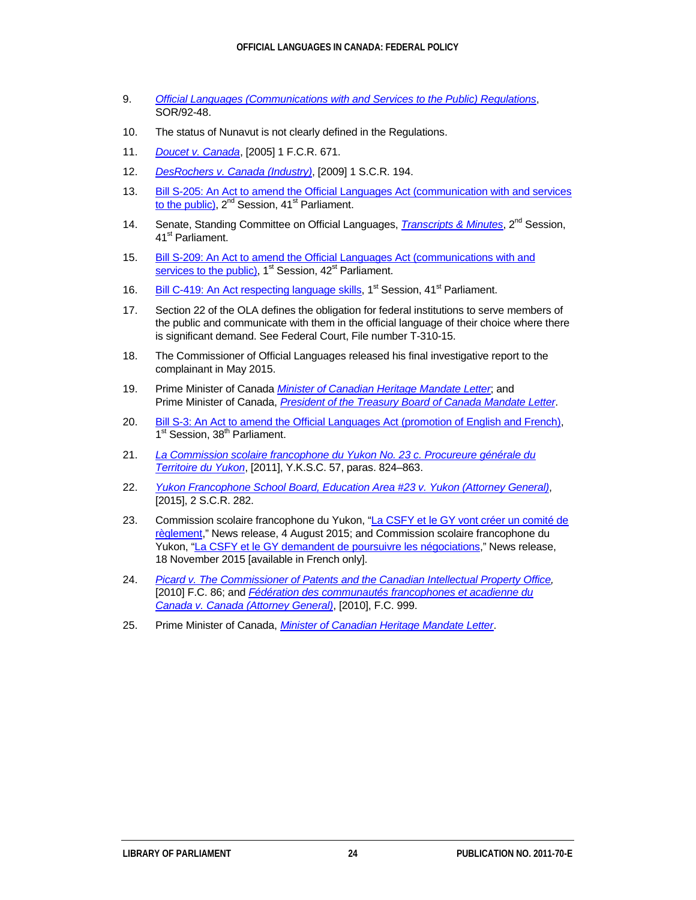- <span id="page-27-0"></span>9. *[Official Languages \(Communications with and Services to the Public\) Regulations](http://www.laws.justice.gc.ca/eng/Regulations/SOR-92-48/index.html)*, SOR/92-48.
- <span id="page-27-1"></span>10. The status of Nunavut is not clearly defined in the Regulations.
- <span id="page-27-2"></span>11. *[Doucet v. Canada](http://recueil.cmf.gc.ca/eng/2005/2004fc1444.html)*, [2005] 1 F.C.R. 671.
- <span id="page-27-3"></span>12. *[DesRochers v. Canada](http://csc.lexum.org/en/2009/2009scc8/2009scc8.html) (Industry)*, [2009] 1 S.C.R. 194.
- <span id="page-27-4"></span>13. [Bill S-205: An Act to amend the Official Languages Act \(communication with and services](http://www.parl.gc.ca/LegisInfo/BillDetails.aspx?Mode=1&billId=6263608&Language=E)  [to the public\),](http://www.parl.gc.ca/LegisInfo/BillDetails.aspx?Mode=1&billId=6263608&Language=E)  $2^{nd}$  Session,  $41^{st}$  Parliament.
- <span id="page-27-5"></span>14. Senate, Standing Committee on Official Languages, *[Transcripts & Minutes](http://www.parl.gc.ca/SenCommitteeBusiness/CommitteeTranscripts.aspx?parl=41&ses=2&comm_id=1595&Language=E)*, 2nd Session, 41<sup>st</sup> Parliament.
- <span id="page-27-6"></span>15. Bill S-209: An Act to amend the Official Languages Act (communications with and [services to the public\),](http://www.parl.gc.ca/LegisInfo/BillDetails.aspx?Mode=1&billId=8063396&Language=E)  $1<sup>st</sup>$  Session,  $42<sup>st</sup>$  Parliament.
- <span id="page-27-7"></span>16. [Bill C-419: An Act respecting language skills,](http://www.parl.gc.ca/LegisInfo/BillDetails.aspx?Mode=1&billId=5526983&Language=E) 1<sup>st</sup> Session, 41<sup>st</sup> Parliament.
- <span id="page-27-8"></span>17. Section 22 of the OLA defines the obligation for federal institutions to serve members of the public and communicate with them in the official language of their choice where there is significant demand. See Federal Court, File number T-310-15.
- <span id="page-27-9"></span>18. The Commissioner of Official Languages released his final investigative report to the complainant in May 2015.
- <span id="page-27-10"></span>19. Prime Minister of Canada *[Minister of Canadian Heritage Mandate Letter](http://www.pm.gc.ca/eng/minister-canadian-heritage-mandate-letter)*; and Prime Minister of Canada, *[President of the Treasury Board of Canada Mandate Letter](http://www.pm.gc.ca/eng/president-treasury-board-canada-mandate-letter)*.
- <span id="page-27-11"></span>20. [Bill S-3: An Act to amend the Official Languages Act \(promotion of English and French\),](http://www.parl.gc.ca/LegisInfo/BillDetails.aspx?Mode=1&billId=1426991&Language=E) 1<sup>st</sup> Session, 38<sup>th</sup> Parliament.
- <span id="page-27-12"></span>21. *[La Commission scolaire francophone du Yukon No. 23 c. Procureure générale du](http://www.yukoncourts.ca/fr/judgements/supreme/2007/2011_yksc_57__commission_scolaire_francophone_du_yukon_no_23_c__procureure_generale_du_territoire_du_yukon_english.pdf)  [Territoire du Yukon](http://www.yukoncourts.ca/fr/judgements/supreme/2007/2011_yksc_57__commission_scolaire_francophone_du_yukon_no_23_c__procureure_generale_du_territoire_du_yukon_english.pdf)*, [2011], Y.K.S.C. 57, paras. 824–863.
- <span id="page-27-13"></span>22. *[Yukon Francophone School Board, Education Area #23 v. Yukon \(Attorney General\)](http://scc-csc.lexum.com/scc-csc/scc-csc/en/item/15357/index.do?r=AAAAAQAGaW5zaWRlAQ)*, [2015], 2 S.C.R. 282.
- <span id="page-27-14"></span>23. Commission scolaire francophone du Yukon, "La CSFY et le GY vont créer un comité de [règlement,](http://commissionscolaire.csfy.ca/2015/08/04/la-csfy-et-le-gy-vont-creer-un-comite-de-reglement/)" News release, 4 August 2015; and Commission scolaire francophone du Yukon, ["La CSFY et le GY demandent de poursuivre les négociations,"](http://commissionscolaire.csfy.ca/2015/11/18/la-csfy-et-le-gy-demandent-de-poursuivre-les-negociations/) News release, 18 November 2015 [available in French only].
- <span id="page-27-15"></span>24. *[Picard v. The Commissioner of Patents and the Canadian Intellectual Property Office,](http://recueil.fja-cmf.gc.ca/eng/2011/2010fc86.html)*  [2010] F.C. 86; and *Fédération des communautés francophones et acadienne du [Canada v. Canada \(Attorney General\)](http://recueil.fja-cmf.gc.ca/eng/2012/2010fc999.html)*, [2010], F.C. 999.
- <span id="page-27-16"></span>25. Prime Minister of Canada, *[Minister of Canadian Heritage Mandate Letter](http://www.pm.gc.ca/eng/minister-canadian-heritage-mandate-letter)*.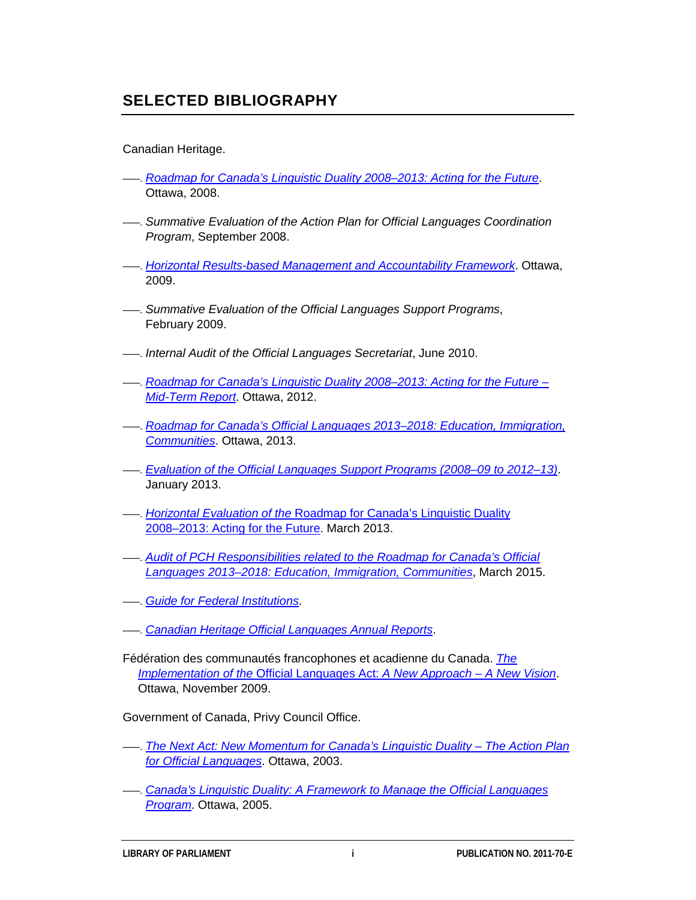## **SELECTED BIBLIOGRAPHY**

#### Canadian Heritage.

- –––. *[Roadmap for Canada's Linguistic Duality 2008–2013: Acting for the Future](http://www.pch.gc.ca/eng/1358261860237/)*. Ottawa, 2008.
- –––. *Summative Evaluation of the Action Plan for Official Languages Coordination Program*, September 2008.
- –––. *[Horizontal Results-based Management and Accountability Framework](http://www.pch.gc.ca/pgm/slo-ols/pubs/08-13hrmaf/index-eng.cfm)*. Ottawa, 2009.
- –––. *Summative Evaluation of the Official Languages Support Programs*, February 2009.
- –––. *Internal Audit of the Official Languages Secretariat*, June 2010.
- –––. *[Roadmap for Canada's Linguistic Duality 2008–2013: Acting for the Future –](http://publications.gc.ca/site/eng/417087/publication.html) [Mid-Term Report](http://publications.gc.ca/site/eng/417087/publication.html)*. Ottawa, 2012.
- –––. *[Roadmap for Canada's Official Languages 2013–2018: Education, Immigration,](http://www.pch.gc.ca/eng/1363882822690)  [Communities](http://www.pch.gc.ca/eng/1363882822690)*. Ottawa, 2013.
- –––. *[Evaluation of the Official Languages Support Programs \(2008–09 to 2012–13\)](http://www.pch.gc.ca/DAMAssetPub/DAM-verEval-audEval/STAGING/texte-text/ralo-eval-2013_1374263088216_eng.pdf?WT.contentAuthority=25.0)*. January 2013.
- –––. *Horizontal Evaluation of the* [Roadmap for Canada's Linguistic Duality](http://www.pch.gc.ca/DAMAssetPub/DAM-verEval-audEval/STAGING/texte-text/roadmap-duality-2013_1374784356467_eng.pdf?WT.contentAuthority=25.0http://www.pch.gc.ca/DAMAssetPub/DAM-verEval-audEval/STAGING/texte-text/roadmap-duality-2013_1374784356467_eng.pdf?WT.contentAuthority=25.0)  [2008–2013: Acting for the Future.](http://www.pch.gc.ca/DAMAssetPub/DAM-verEval-audEval/STAGING/texte-text/roadmap-duality-2013_1374784356467_eng.pdf?WT.contentAuthority=25.0http://www.pch.gc.ca/DAMAssetPub/DAM-verEval-audEval/STAGING/texte-text/roadmap-duality-2013_1374784356467_eng.pdf?WT.contentAuthority=25.0) March 2013.
- –––. *[Audit of PCH Responsibilities related to the Roadmap for Canada's Official](http://www.pch.gc.ca/DAMAssetPub/DAM-bcm-mcp/STAGING/texte-text/auditOfPCHRespToTheRoadmapReportENMarch2015FINALQC_1435072466074_eng.pdf?WT.contentAuthority=25.0)  [Languages 2013–2018: Education, Immigration, Communities](http://www.pch.gc.ca/DAMAssetPub/DAM-bcm-mcp/STAGING/texte-text/auditOfPCHRespToTheRoadmapReportENMarch2015FINALQC_1435072466074_eng.pdf?WT.contentAuthority=25.0)*, March 2015.
- –––. *[Guide for Federal Institutions](http://www.pch.gc.ca/eng/1363187277612/)*.
- –––. *[Canadian Heritage Official Languages Annual Reports](http://www.pch.gc.ca/eng/1359466462083/1359466638286)*.
- Fédération des communautés francophones et acadienne du Canada. *[The](http://www.fcfa.ca/user_files/users/40/Media/doc_LLO_ENG.pdf)  Implementation of the* [Official Languages Act:](http://www.fcfa.ca/user_files/users/40/Media/doc_LLO_ENG.pdf) *A New Approach – A New Vision*. Ottawa, November 2009.

Government of Canada, Privy Council Office.

- –––. *[The Next Act: New Momentum for Canada's Linguistic Duality –](http://epe.lac-bac.gc.ca/100/205/301/pco-bcp/website/06-07-27/www.pco-bcp.gc.ca/olo/default.asp@language=e&page=action&doc=cover_e.htm) The Action Plan [for Official Languages](http://epe.lac-bac.gc.ca/100/205/301/pco-bcp/website/06-07-27/www.pco-bcp.gc.ca/olo/default.asp@language=e&page=action&doc=cover_e.htm)*. Ottawa, 2003.
- –––. *[Canada's Linguistic Duality: A Framework to Manage the Official Languages](http://epe.lac-bac.gc.ca/100/205/301/pco-bcp/website/06-07-27/www.pco-bcp.gc.ca/olo/default.asp@language=e&page=horizontalresultsbasedma&doc=cover_e.htm)  [Program](http://epe.lac-bac.gc.ca/100/205/301/pco-bcp/website/06-07-27/www.pco-bcp.gc.ca/olo/default.asp@language=e&page=horizontalresultsbasedma&doc=cover_e.htm)*. Ottawa, 2005.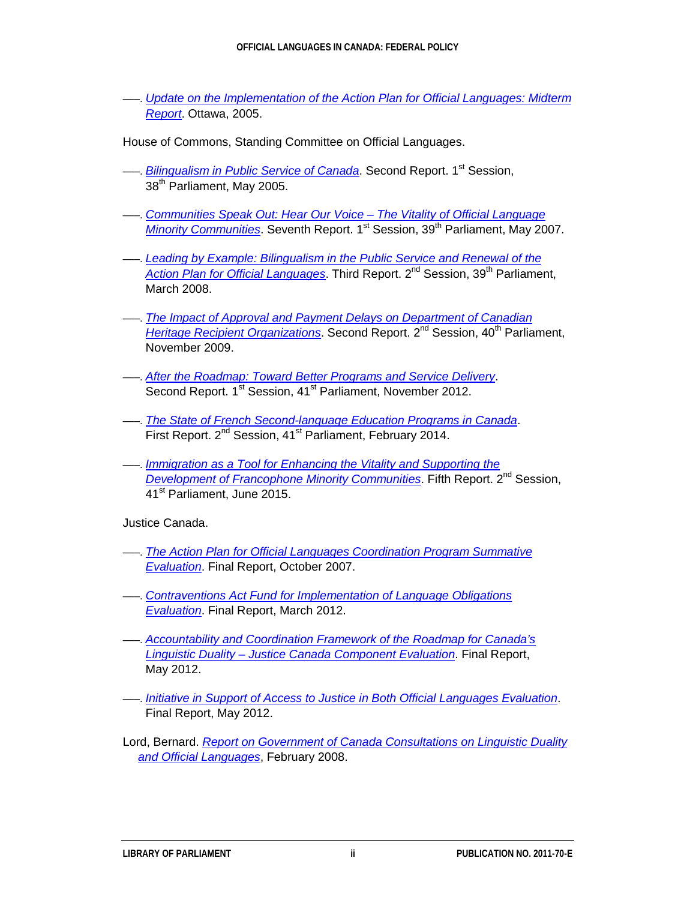- –––. *[Update on the Implementation of the Action Plan for Official Languages: Midterm](http://epe.lac-bac.gc.ca/100/205/301/pco-bcp/website/06-07-27/www.pco-bcp.gc.ca/olo/default.asp@language=e&page=midtermreport&doc=cover_e.htm)  [Report](http://epe.lac-bac.gc.ca/100/205/301/pco-bcp/website/06-07-27/www.pco-bcp.gc.ca/olo/default.asp@language=e&page=midtermreport&doc=cover_e.htm)*. Ottawa, 2005.
- House of Commons, Standing Committee on Official Languages.
- <sup>-</sup>–––. *[Bilingualism in Public Service of Canada](http://www.parl.gc.ca/HousePublications/Publication.aspx?DocId=1862556&Mode=1&Parl=38&Ses=1&Language=E)*. Second Report. 1<sup>st</sup> Session, 38<sup>th</sup> Parliament, May 2005.
- –––. *[Communities Speak Out: Hear Our Voice –](http://www.parl.gc.ca/HousePublications/Publication.aspx?DocId=2919177&Mode=1&Parl=39&Ses=1&Language=E) The Vitality of Official Language [Minority Communities](http://www.parl.gc.ca/HousePublications/Publication.aspx?DocId=2919177&Mode=1&Parl=39&Ses=1&Language=E)*. Seventh Report. 1<sup>st</sup> Session, 39<sup>th</sup> Parliament, May 2007.
- –––. *[Leading by Example: Bilingualism in the Public Service and Renewal of the](http://www.parl.gc.ca/HousePublications/Publication.aspx?DocId=3331128&Mode=1&Parl=39&Ses=2&Language=E)* [Action Plan for Official Languages](http://www.parl.gc.ca/HousePublications/Publication.aspx?DocId=3331128&Mode=1&Parl=39&Ses=2&Language=E), Third Report, 2<sup>nd</sup> Session, 39<sup>th</sup> Parliament, March 2008.
- –––. *[The Impact of Approval and Payment Delays on Department of Canadian](http://www.parl.gc.ca/HousePublications/Publication.aspx?DocId=4282617&Language=E&Mode=1&Parl=40&Ses=2)  [Heritage Recipient Organizations](http://www.parl.gc.ca/HousePublications/Publication.aspx?DocId=4282617&Language=E&Mode=1&Parl=40&Ses=2)*. Second Report. 2<sup>nd</sup> Session, 40<sup>th</sup> Parliament, November 2009.
- –––. *[After the Roadmap: Toward Better Programs and Service Delivery](http://www.parl.gc.ca/HousePublications/Publication.aspx?DocId=5831366&Mode=1&Parl=41&Ses=1&Language=E)*. Second Report. 1<sup>st</sup> Session, 41<sup>st</sup> Parliament, November 2012.
- –––. *[The State of French Second-language Education Programs in Canada](http://www.parl.gc.ca/HousePublications/Publication.aspx?DocId=6433979&Mode=1&Parl=41&Ses=2&Language=Ehttp://www.parl.gc.ca/HousePublications/Publication.aspx?DocId=6433979&Mode=1&Parl=41&Ses=2&Language=E)*. First Report. 2<sup>nd</sup> Session, 41<sup>st</sup> Parliament, February 2014.
- –––. *[Immigration as a Tool for Enhancing the Vitality and Supporting the](http://www.parl.gc.ca/HousePublications/Publication.aspx?DocId=8019677&Mode=1&Parl=41&Ses=2&Language=E)  [Development of Francophone Minority Communities](http://www.parl.gc.ca/HousePublications/Publication.aspx?DocId=8019677&Mode=1&Parl=41&Ses=2&Language=E)*, Fifth Report, 2<sup>nd</sup> Session, 41<sup>st</sup> Parliament, June 2015.

Justice Canada.

- –––. *[The Action Plan for Official Languages Coordination Program Summative](http://www.justice.gc.ca/eng/rp-pr/cp-pm/eval/rep-rap/07/apol-palo/index.html)  [Evaluation](http://www.justice.gc.ca/eng/rp-pr/cp-pm/eval/rep-rap/07/apol-palo/index.html)*. Final Report, October 2007.
- –––. *[Contraventions Act Fund for Implementation of Language Obligations](http://www.justice.gc.ca/eng/rp-pr/cp-pm/eval/rep-rap/12/loe-ole/index.html)  [Evaluation](http://www.justice.gc.ca/eng/rp-pr/cp-pm/eval/rep-rap/12/loe-ole/index.html)*. Final Report, March 2012.
- –––. *[Accountability and Coordination Framework of the Roadmap for Canada's](http://www.justice.gc.ca/eng/rp-pr/cp-pm/eval/rep-rap/12/cld-dlc/index.html)  Linguistic Duality – [Justice Canada Component Evaluation](http://www.justice.gc.ca/eng/rp-pr/cp-pm/eval/rep-rap/12/cld-dlc/index.html)*. Final Report, May 2012.
- –––. *[Initiative in Support of Access to Justice in Both Official Languages Evaluation](http://www.justice.gc.ca/eng/rp-pr/cp-pm/eval/rep-rap/12/bole-edlo/index.html)*. Final Report, May 2012.
- Lord, Bernard. *[Report on Government of Canada Consultations on Linguistic Duality](http://www.pch.gc.ca/pc-ch/conslttn/lo-ol_2008/lord/index-eng.cfm)  [and Official Languages](http://www.pch.gc.ca/pc-ch/conslttn/lo-ol_2008/lord/index-eng.cfm)*, February 2008.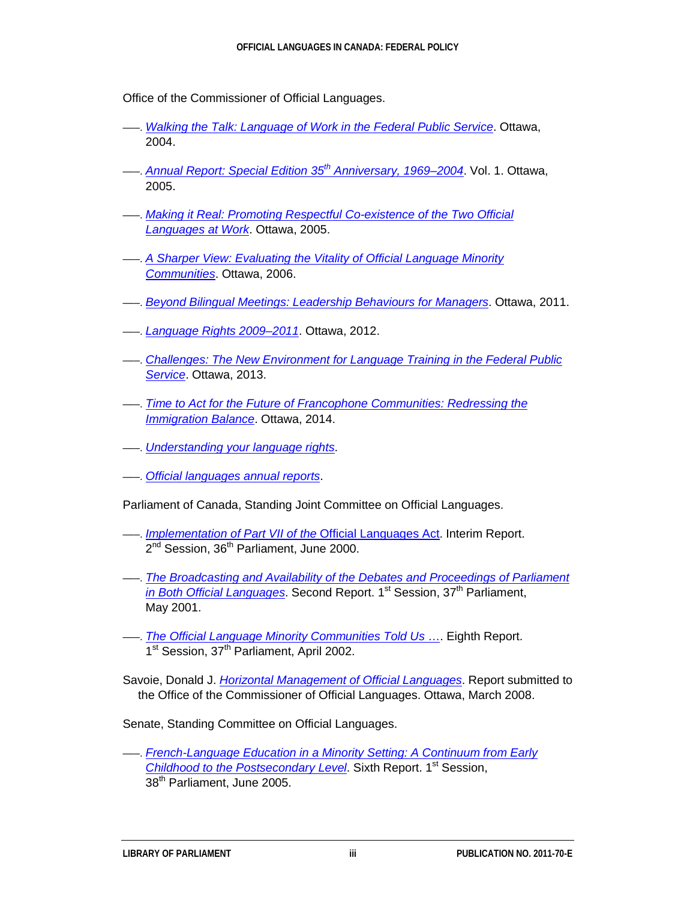Office of the Commissioner of Official Languages.

- –––. *[Walking the Talk: Language of Work in the Federal Public Service](http://www.ocol-clo.gc.ca/html/stu_etu_032004_e.php)*. Ottawa, 2004.
- –––. *[Annual Report: Special Edition 35th](http://www.ocol-clo.gc.ca/html/ar_ra_2004_05_v1_e.php) Anniversary, 1969–2004*. Vol. 1. Ottawa, 2005.
- –––. *[Making it Real: Promoting Respectful Co-existence of the Two Official](http://www.ocol-clo.gc.ca/html/stu_etu_042005_e.php)  [Languages at Work](http://www.ocol-clo.gc.ca/html/stu_etu_042005_e.php)*. Ottawa, 2005.
- –––. *[A Sharper View: Evaluating the Vitality of Official Language Minority](http://www.ocol-clo.gc.ca/html/stu_etu_052006_e.php)  [Communities](http://www.ocol-clo.gc.ca/html/stu_etu_052006_e.php)*. Ottawa, 2006.
- –––. *[Beyond Bilingual Meetings: Leadership Behaviours for Managers](http://www.ocol-clo.gc.ca/html/stu_etu_032011_e.php)*. Ottawa, 2011.
- –––. *[Language Rights 2009–2011](http://www.ocol-clo.gc.ca/html/lr_dl_2009_11_e.php)*. Ottawa, 2012.
- –––. *[Challenges: The New Environment for Language Training in the Federal Public](http://www.ocol-clo.gc.ca/en/pages/challenges-the-new-environment-for-language-training-in-the-federal-public-service)  [Service](http://www.ocol-clo.gc.ca/en/pages/challenges-the-new-environment-for-language-training-in-the-federal-public-service)*. Ottawa, 2013.
- –––. *[Time to Act for the Future of Francophone Communities: Redressing the](http://www.ocol-clo.gc.ca/en/publications/redressing-immigration-imbalance)  [Immigration Balance](http://www.ocol-clo.gc.ca/en/publications/redressing-immigration-imbalance)*. Ottawa, 2014.
- –––. *[Understanding your language rights](http://www.ocol-clo.gc.ca/en/language_rights/act)*.
- –––. *[Official languages annual reports](http://www.ocol-clo.gc.ca/en/publications/annual_reports/index)*.

Parliament of Canada, Standing Joint Committee on Official Languages.

- –––. *[Implementation of Part VII of the](http://www.parl.gc.ca/HousePublications/Publication.aspx?DocId=1031736&Mode=1&Parl=36&Ses=2&Language=E)* Official Languages Act. Interim Report. 2<sup>nd</sup> Session, 36<sup>th</sup> Parliament, June 2000.
- –––. *[The Broadcasting and Availability of the Debates and Proceedings of Parliament](http://www.parl.gc.ca/HousePublications/Publication.aspx?DocId=1032163&Mode=1&Parl=37&Ses=1&Language=E)  [in Both Official Languages](http://www.parl.gc.ca/HousePublications/Publication.aspx?DocId=1032163&Mode=1&Parl=37&Ses=1&Language=E)*. Second Report. 1<sup>st</sup> Session, 37<sup>th</sup> Parliament, May 2001.
- –––. *[The Official Language Minority Communities Told Us](http://www.parl.gc.ca/HousePublications/Publication.aspx?DocId=1032072&Mode=1&Parl=37&Ses=1&Language=E)* …. Eighth Report. 1<sup>st</sup> Session, 37<sup>th</sup> Parliament, April 2002.

Savoie, Donald J. *[Horizontal Management of Official Languages](http://www.ocol-clo.gc.ca/html/hm_gh_2008_e.php)*. Report submitted to the Office of the Commissioner of Official Languages. Ottawa, March 2008.

Senate, Standing Committee on Official Languages.

–––. *[French-Language Education in a Minority Setting: A Continuum from Early](http://www.parl.gc.ca/Content/SEN/Committee/381/offi/rep/rep06jun05-e.pdf)  [Childhood to the Postsecondary Level](http://www.parl.gc.ca/Content/SEN/Committee/381/offi/rep/rep06jun05-e.pdf).* Sixth Report. 1<sup>st</sup> Session, 38<sup>th</sup> Parliament, June 2005.